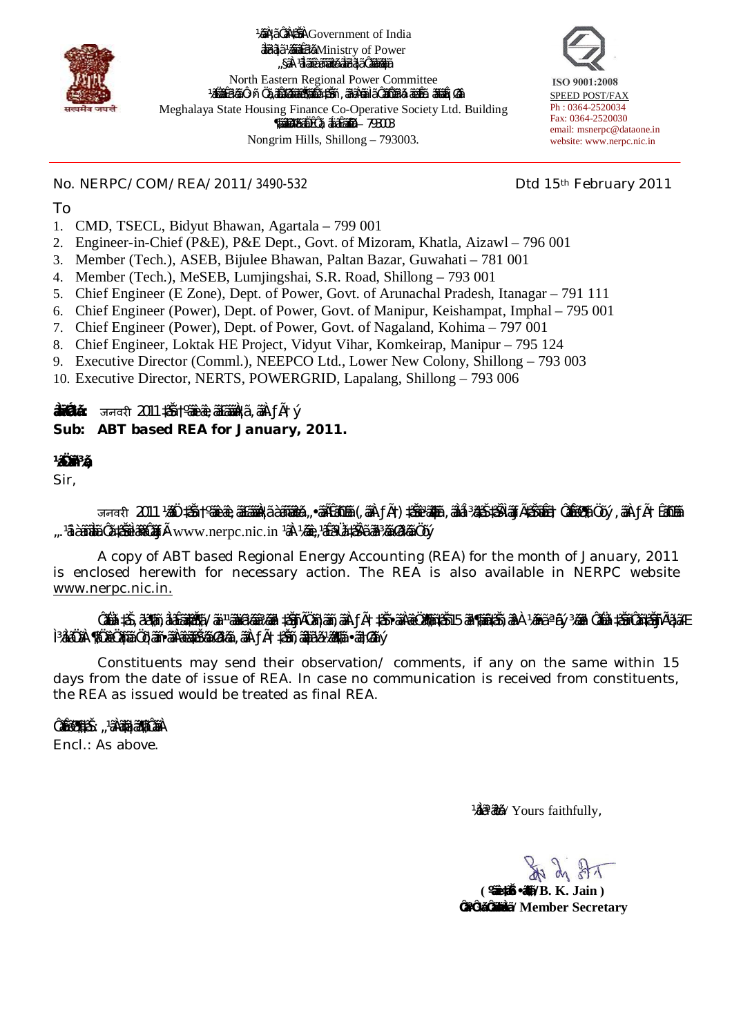

¼ããÀ¦ã ÔãÀ‡ãŠãÀ Government of India ãäÌã²ãì¦ã ½ãâ¨ããÊã¾ã Ministry of Power "§ãÀ <sup>1</sup>ãiÌããê àãñããè⁄ã ãåã<sup>2</sup>ã¦ã Ôããå⁄ããåã North Eastern Regional Power Committee ½ãÑäãÊã¼ãã Ô>ñ› Öã"ãÂãØããããŠĴããÑã ‡ãŠñ+ , ãªãÅñã» Ìã ÔããÔãã¼ã>ãèãÊã. ããããÊ¡Øãâ Meghalaya State Housing Finance Co-Operative Society Ltd. Building  $\P$ ããã $\ddot{\theta}$ ã $\ddot{\theta}$ ã $\ddot{\theta}$ È $\ddot{\theta}$ ôã, ãa $\ddot{\theta}$ ã $\ddot{\theta}$ ãã $\ddot{\theta}$ a $-$  793003 Nongrim Hills, Shillong – 793003.



No. NERPC/COM/REA/2011/3490-532 Dtd 15<sup>th</sup> February 2011

To

- 1. CMD, TSECL, Bidyut Bhawan, Agartala 799 001
- 2. Engineer-in-Chief (P&E), P&E Dept., Govt. of Mizoram, Khatla, Aizawl 796 001
- 3. Member (Tech.), ASEB, Bijulee Bhawan, Paltan Bazar, Guwahati 781 001
- 4. Member (Tech.), MeSEB, Lumjingshai, S.R. Road, Shillong 793 001
- 5. Chief Engineer (E Zone), Dept. of Power, Govt. of Arunachal Pradesh, Itanagar 791 111
- 6. Chief Engineer (Power), Dept. of Power, Govt. of Manipur, Keishampat, Imphal 795 001
- 7. Chief Engineer (Power), Dept. of Power, Govt. of Nagaland, Kohima 797 001
- 8. Chief Engineer, Loktak HE Project, Vidyut Vihar, Komkeirap, Manipur 795 124
- 9. Executive Director (Comml.), NEEPCO Ltd., Lower New Colony, Shillong 793 003
- 10. Executive Director, NERTS, POWERGRID, Lapalang, Shillong 793 006

**ãäÌãÓã¾ã :** जनवरȣ 2011 ‡ãŠã †ºããè›ãè 'ãã£ãããäÀ¦ã 'ããÀ.ƒÃ.† ý *Sub: ABT based REA for January, 2011.*

# **½ãÖãñª¾ã,**

Sir,

जनवरी 2011 ½ããO ‡ãã †ºããèæe, äã£ãããÀ¦ã àãñãã¼ã "•ãÃĒãnŒãã (,ãåÀ.ƒÃ†) ‡ãŠãeªã&ã ,äãlā͡¼ã#㊇ãŠÀlãƒÃ‡ãðãã∰ãËã†OãÊãØ¶ã Öõý, ãåÀ.ƒÃ†ÊãnŒãã ".'ã.àãñāåā.Ôã ‡ãŠãè ÌãfiâÔããƒÃ· www.nerpc.nic.in <sup>1</sup>āÀ ¼ããe "'âÊāºÜã ‡ãÀã ã㺾ãã Øã¼ãã Öõý

A copy of ABT based Regional Energy Accounting (REA) for the month of January, 2011 is enclosed herewith for necessary action. The REA is also available in NERPC website www.nerpc.nic.in.

ÔãNã>‡ã , ā'ā¶ãn , āìāĒāā¢āš¶ā / äà 11āā¥ā¼āā? ‡āšīfĀÖān¦āān, āA. ƒÃ† ‡āšī •āĀæÖā¶jān‡āšī15 āā¶jāā‡āšīn ¼ãnē ªñý ¾ã㪠ÔāNā>‡āŠīnÔān‡āŠīfĀ1ā¦āÆ ̾ãÌãÖãÀ ¶ãÖãè Öãñ¦ãã Öõ ¦ããñ •ããÀãè ãä‡ãоãã Øã¾ãã 'ããÀ.ƒÃ.† ‡ãŠãñ 'ãâãä¦ã½ã ½ãã¶ãã •ãã†Øãã ý

Constituents may send their observation/ comments, if any on the same within 15 days from the date of issue of REA. In case no communication is received from constituents, the REA as issued would be treated as final REA.

Ôã**拯¶ät㊠: "<sup>1</sup>ãÀãnă:¦ãã¶ãÔããÀ** 

Encl.: As above.

¼ãÌãªãè¾ã / Yours faithfully,

THE NO ET

 **( ºããè. ‡ãñŠ. •ãõ¶ã / B. K. Jain ) ÔãªÔ¾ã ÔããäÞãÌã / Member Secretary**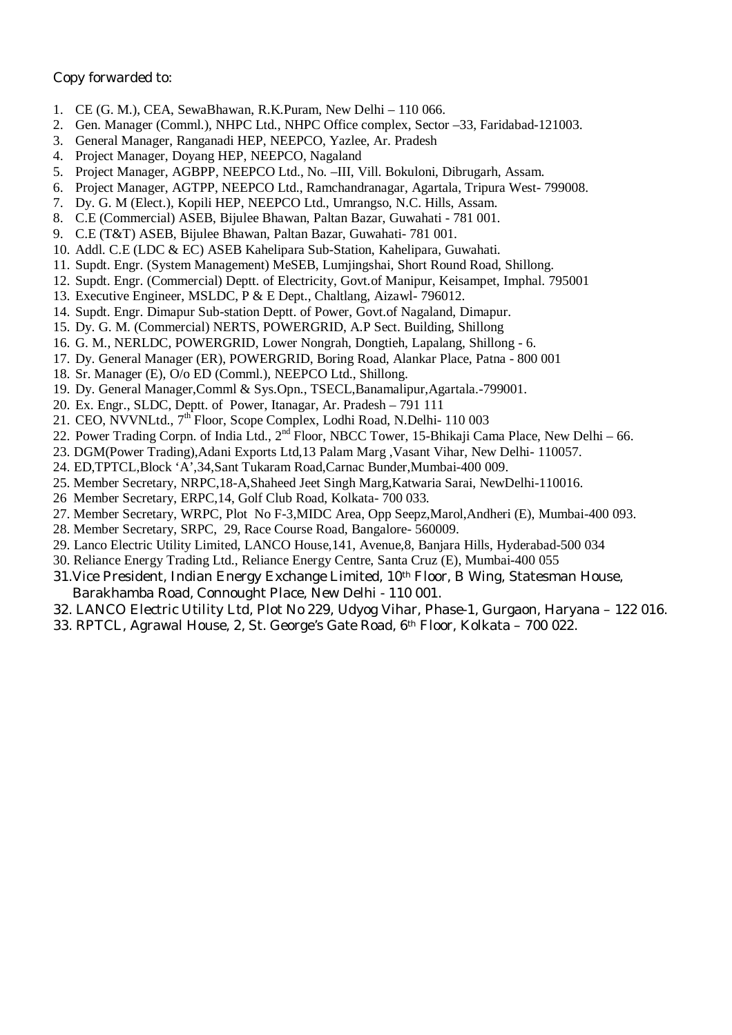# *Copy forwarded to:*

- 1. CE (G. M.), CEA, SewaBhawan, R.K.Puram, New Delhi 110 066.
- 2. Gen. Manager (Comml.), NHPC Ltd., NHPC Office complex, Sector –33, Faridabad-121003.
- 3. General Manager, Ranganadi HEP, NEEPCO, Yazlee, Ar. Pradesh
- 4. Project Manager, Doyang HEP, NEEPCO, Nagaland
- 5. Project Manager, AGBPP, NEEPCO Ltd., No. –III, Vill. Bokuloni, Dibrugarh, Assam.
- 6. Project Manager, AGTPP, NEEPCO Ltd., Ramchandranagar, Agartala, Tripura West- 799008.
- 7. Dy. G. M (Elect.), Kopili HEP, NEEPCO Ltd., Umrangso, N.C. Hills, Assam.
- 8. C.E (Commercial) ASEB, Bijulee Bhawan, Paltan Bazar, Guwahati 781 001.
- 9. C.E (T&T) ASEB, Bijulee Bhawan, Paltan Bazar, Guwahati- 781 001.
- 10. Addl. C.E (LDC & EC) ASEB Kahelipara Sub-Station, Kahelipara, Guwahati.
- 11. Supdt. Engr. (System Management) MeSEB, Lumjingshai, Short Round Road, Shillong.
- 12. Supdt. Engr. (Commercial) Deptt. of Electricity, Govt.of Manipur, Keisampet, Imphal. 795001
- 13. Executive Engineer, MSLDC, P & E Dept., Chaltlang, Aizawl- 796012.
- 14. Supdt. Engr. Dimapur Sub-station Deptt. of Power, Govt.of Nagaland, Dimapur.
- 15. Dy. G. M. (Commercial) NERTS, POWERGRID, A.P Sect. Building, Shillong
- 16. G. M., NERLDC, POWERGRID, Lower Nongrah, Dongtieh, Lapalang, Shillong 6.
- 17. Dy. General Manager (ER), POWERGRID, Boring Road, Alankar Place, Patna 800 001
- 18. Sr. Manager (E), O/o ED (Comml.), NEEPCO Ltd., Shillong.
- 19. Dy. General Manager,Comml & Sys.Opn., TSECL,Banamalipur,Agartala.-799001.
- 20. Ex. Engr., SLDC, Deptt. of Power, Itanagar, Ar. Pradesh 791 111
- 21. CEO, NVVNLtd., 7<sup>th</sup> Floor, Scope Complex, Lodhi Road, N.Delhi- 110 003
- 22. Power Trading Corpn. of India Ltd., 2<sup>nd</sup> Floor, NBCC Tower, 15-Bhikaji Cama Place, New Delhi 66.
- 23. DGM(Power Trading),Adani Exports Ltd,13 Palam Marg ,Vasant Vihar, New Delhi- 110057.
- 24. ED,TPTCL,Block 'A',34,Sant Tukaram Road,Carnac Bunder,Mumbai-400 009.
- 25. Member Secretary, NRPC,18-A,Shaheed Jeet Singh Marg,Katwaria Sarai, NewDelhi-110016.
- 26 Member Secretary, ERPC,14, Golf Club Road, Kolkata- 700 033.
- 27. Member Secretary, WRPC, Plot No F-3,MIDC Area, Opp Seepz,Marol,Andheri (E), Mumbai-400 093.
- 28. Member Secretary, SRPC, 29, Race Course Road, Bangalore- 560009.
- 29. Lanco Electric Utility Limited, LANCO House,141, Avenue,8, Banjara Hills, Hyderabad-500 034
- 30. Reliance Energy Trading Ltd., Reliance Energy Centre, Santa Cruz (E), Mumbai-400 055
- 31.Vice President, Indian Energy Exchange Limited, 10th Floor, B Wing, Statesman House, Barakhamba Road, Connought Place, New Delhi - 110 001.
- 32. LANCO Electric Utility Ltd, Plot No 229, Udyog Vihar, Phase-1, Gurgaon, Haryana 122 016.
- 33. RPTCL, Agrawal House, 2, St. George's Gate Road, 6th Floor, Kolkata 700 022.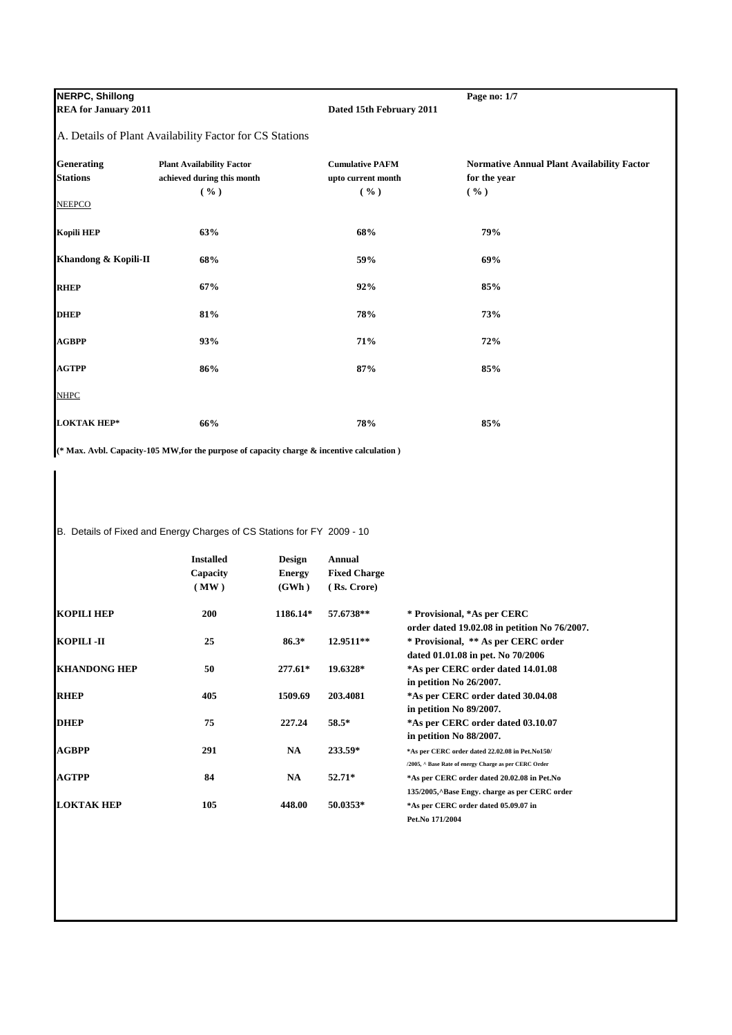**NERPC, Shillong Page no: 1/7**<br>**REA for January 2011 Page 111 Page 12011 Page 12011 Page 12011 Page 12011** 

**Dated 15th February 2011** 

A. Details of Plant Availability Factor for CS Stations

| <b>Generating</b><br><b>Stations</b> | <b>Plant Availability Factor</b>      | <b>Cumulative PAFM</b>     | <b>Normative Annual Plant Availability Factor</b><br>for the year |
|--------------------------------------|---------------------------------------|----------------------------|-------------------------------------------------------------------|
|                                      | achieved during this month<br>$(\% )$ | upto current month<br>( %) | ( %)                                                              |
| <b>NEEPCO</b>                        |                                       |                            |                                                                   |
| <b>Kopili HEP</b>                    | 63%                                   | 68%                        | 79%                                                               |
| Khandong & Kopili-II                 | 68%                                   | 59%                        | 69%                                                               |
| <b>RHEP</b>                          | 67%                                   | 92%                        | 85%                                                               |
| <b>DHEP</b>                          | 81%                                   | 78%                        | 73%                                                               |
| <b>AGBPP</b>                         | 93%                                   | 71%                        | 72%                                                               |
| <b>AGTPP</b>                         | 86%                                   | 87%                        | 85%                                                               |
| <b>NHPC</b>                          |                                       |                            |                                                                   |
| <b>LOKTAK HEP*</b>                   | 66%                                   | 78%                        | 85%                                                               |

**(\* Max. Avbl. Capacity-105 MW,for the purpose of capacity charge & incentive calculation )**

B. Details of Fixed and Energy Charges of CS Stations for FY 2009 - 10

|                     | <b>Installed</b><br>Capacity<br>(MW) | Design<br><b>Energy</b><br>(GWh) | Annual<br><b>Fixed Charge</b><br>(Rs. Crore) |                                                                                                          |
|---------------------|--------------------------------------|----------------------------------|----------------------------------------------|----------------------------------------------------------------------------------------------------------|
| <b>KOPILI HEP</b>   | <b>200</b>                           | 1186.14*                         | 57.6738**                                    | * Provisional, *As per CERC<br>order dated $19.02.08$ in petition No $76/2007$ .                         |
| KOPILI -II          | 25                                   | $86.3*$                          | 12.9511**                                    | * Provisional, ** As per CERC order<br>dated 01.01.08 in pet. No 70/2006                                 |
| <b>KHANDONG HEP</b> | 50                                   | $277.61*$                        | 19.6328*                                     | *As per CERC order dated 14.01.08<br>in petition No 26/2007.                                             |
| <b>RHEP</b>         | 405                                  | 1509.69                          | 203.4081                                     | *As per CERC order dated 30.04.08<br>in petition No 89/2007.                                             |
| <b>DHEP</b>         | 75                                   | 227.24                           | $58.5*$                                      | *As per CERC order dated 03.10.07<br>in petition No 88/2007.                                             |
| AGBPP               | 291                                  | <b>NA</b>                        | 233.59*                                      | *As per CERC order dated 22.02.08 in Pet.No150/<br>/2005, ^ Base Rate of energy Charge as per CERC Order |
| <b>AGTPP</b>        | 84                                   | NA                               | 52.71*                                       | *As per CERC order dated 20.02.08 in Pet.No<br>135/2005, Base Engy. charge as per CERC order             |
| <b>LOKTAK HEP</b>   | 105                                  | 448.00                           | 50.0353*                                     | *As per CERC order dated 05.09.07 in<br>Pet.No 171/2004                                                  |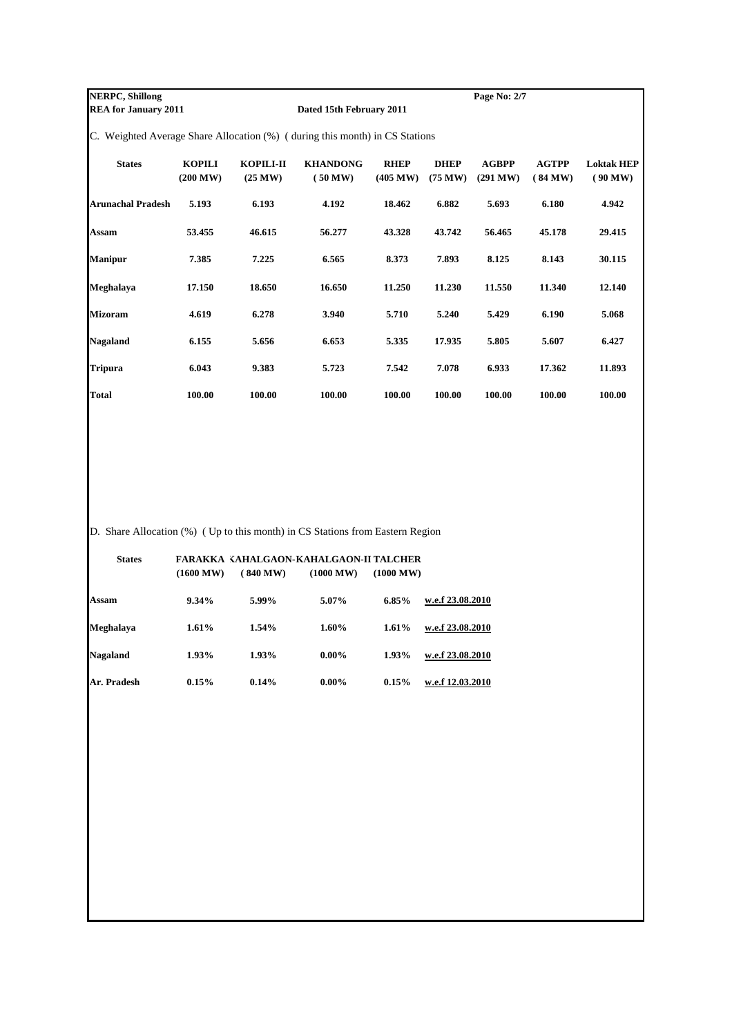**NERPC, Shillong Page No: 2/7**<br>**REA for January 2011 Page No: 2/7 Dated 15th February 2011** 

C. Weighted Average Share Allocation (%) ( during this month) in CS Stations

| <b>States</b>            | <b>KOPILI</b><br>(200 MW) | KOPILI-II<br>(25 MW) | <b>KHANDONG</b><br>(50 MW) | <b>RHEP</b><br>(405 MW) | <b>DHEP</b><br>$(75 \text{ MW})$ | <b>AGBPP</b><br>(291 MW) | <b>AGTPP</b><br>(84 MW) | <b>Loktak HEP</b><br>(90 MW) |
|--------------------------|---------------------------|----------------------|----------------------------|-------------------------|----------------------------------|--------------------------|-------------------------|------------------------------|
| <b>Arunachal Pradesh</b> | 5.193                     | 6.193                | 4.192                      | 18.462                  | 6.882                            | 5.693                    | 6.180                   | 4.942                        |
| Assam                    | 53.455                    | 46.615               | 56.277                     | 43.328                  | 43.742                           | 56.465                   | 45.178                  | 29.415                       |
| <b>Manipur</b>           | 7.385                     | 7.225                | 6.565                      | 8.373                   | 7.893                            | 8.125                    | 8.143                   | 30.115                       |
| Meghalaya                | 17.150                    | 18.650               | 16.650                     | 11.250                  | 11.230                           | 11.550                   | 11.340                  | 12.140                       |
| Mizoram                  | 4.619                     | 6.278                | 3.940                      | 5.710                   | 5.240                            | 5.429                    | 6.190                   | 5.068                        |
| Nagaland                 | 6.155                     | 5.656                | 6.653                      | 5.335                   | 17.935                           | 5.805                    | 5.607                   | 6.427                        |
| <b>Tripura</b>           | 6.043                     | 9.383                | 5.723                      | 7.542                   | 7.078                            | 6.933                    | 17.362                  | 11.893                       |
| Total                    | 100.00                    | 100.00               | 100.00                     | 100.00                  | 100.00                           | 100.00                   | 100.00                  | 100.00                       |

D. Share Allocation (%) ( Up to this month) in CS Stations from Eastern Region

| <b>States</b> | (1600 MW) | FARAKKA KAHALGAON-KAHALGAON-II TALCHER<br>(840 MW) | (1000 MW) | (1000 MW) |                  |
|---------------|-----------|----------------------------------------------------|-----------|-----------|------------------|
| Assam         | $9.34\%$  | 5.99%                                              | 5.07%     | 6.85%     | w.e.f 23.08.2010 |
| Meghalaya     | 1.61%     | 1.54%                                              | $1.60\%$  | 1.61%     | w.e.f 23.08.2010 |
| Nagaland      | 1.93%     | 1.93%                                              | $0.00\%$  | 1.93%     | w.e.f 23.08.2010 |
| Ar. Pradesh   | 0.15%     | 0.14%                                              | $0.00\%$  | 0.15%     | w.e.f 12.03.2010 |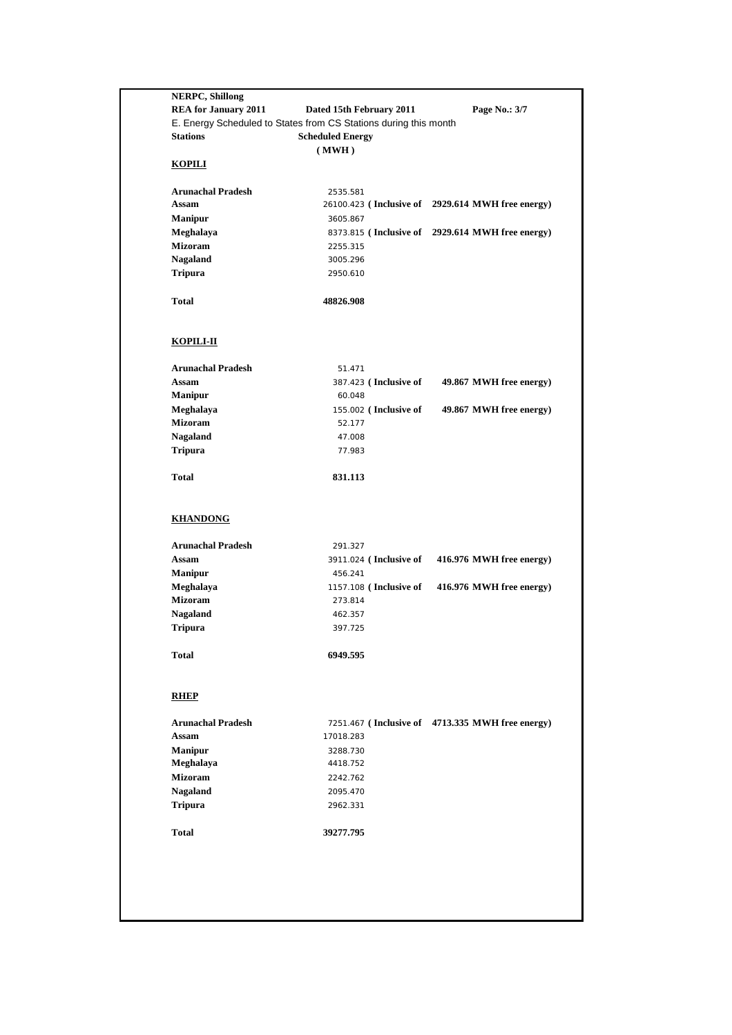| <b>Stations</b>                   | E. Energy Scheduled to States from CS Stations during this month<br><b>Scheduled Energy</b> |                                                   |
|-----------------------------------|---------------------------------------------------------------------------------------------|---------------------------------------------------|
|                                   | (MWH)                                                                                       |                                                   |
| <b>KOPILI</b>                     |                                                                                             |                                                   |
| <b>Arunachal Pradesh</b>          | 2535.581                                                                                    |                                                   |
| Assam                             |                                                                                             | 26100.423 (Inclusive of 2929.614 MWH free energy) |
| <b>Manipur</b>                    | 3605.867                                                                                    |                                                   |
| Meghalaya                         |                                                                                             | 8373.815 (Inclusive of 2929.614 MWH free energy)  |
| <b>Mizoram</b><br><b>Nagaland</b> | 2255.315<br>3005.296                                                                        |                                                   |
| <b>Tripura</b>                    | 2950.610                                                                                    |                                                   |
| <b>Total</b>                      | 48826.908                                                                                   |                                                   |
| <b>KOPILI-II</b>                  |                                                                                             |                                                   |
| <b>Arunachal Pradesh</b>          | 51.471                                                                                      |                                                   |
| Assam                             | 387.423 (Inclusive of                                                                       | 49.867 MWH free energy)                           |
| <b>Manipur</b>                    | 60.048                                                                                      |                                                   |
| Meghalaya<br><b>Mizoram</b>       | 155.002 (Inclusive of<br>52.177                                                             | 49.867 MWH free energy)                           |
| <b>Nagaland</b>                   | 47.008                                                                                      |                                                   |
| <b>Tripura</b>                    | 77.983                                                                                      |                                                   |
|                                   |                                                                                             |                                                   |
| <b>Total</b>                      | 831.113                                                                                     |                                                   |
| <b>KHANDONG</b>                   |                                                                                             |                                                   |
| <b>Arunachal Pradesh</b>          | 291.327                                                                                     |                                                   |
| Assam                             | 3911.024 (Inclusive of                                                                      | 416.976 MWH free energy)                          |
| <b>Manipur</b>                    | 456.241                                                                                     |                                                   |
| Meghalaya                         | 1157.108 (Inclusive of                                                                      | 416.976 MWH free energy)                          |
| <b>Mizoram</b>                    | 273.814                                                                                     |                                                   |
| <b>Nagaland</b><br><b>Tripura</b> | 462.357<br>397.725                                                                          |                                                   |
|                                   |                                                                                             |                                                   |
| <b>Total</b>                      | 6949.595                                                                                    |                                                   |
| <b>RHEP</b>                       |                                                                                             |                                                   |
| <b>Arunachal Pradesh</b>          |                                                                                             | 7251.467 (Inclusive of 4713.335 MWH free energy)  |
| Assam                             | 17018.283                                                                                   |                                                   |
| <b>Manipur</b>                    | 3288.730                                                                                    |                                                   |
| Meghalaya<br><b>Mizoram</b>       | 4418.752                                                                                    |                                                   |
| <b>Nagaland</b>                   | 2242.762<br>2095.470                                                                        |                                                   |
| <b>Tripura</b>                    | 2962.331                                                                                    |                                                   |
| <b>Total</b>                      |                                                                                             |                                                   |
|                                   | 39277.795                                                                                   |                                                   |
|                                   |                                                                                             |                                                   |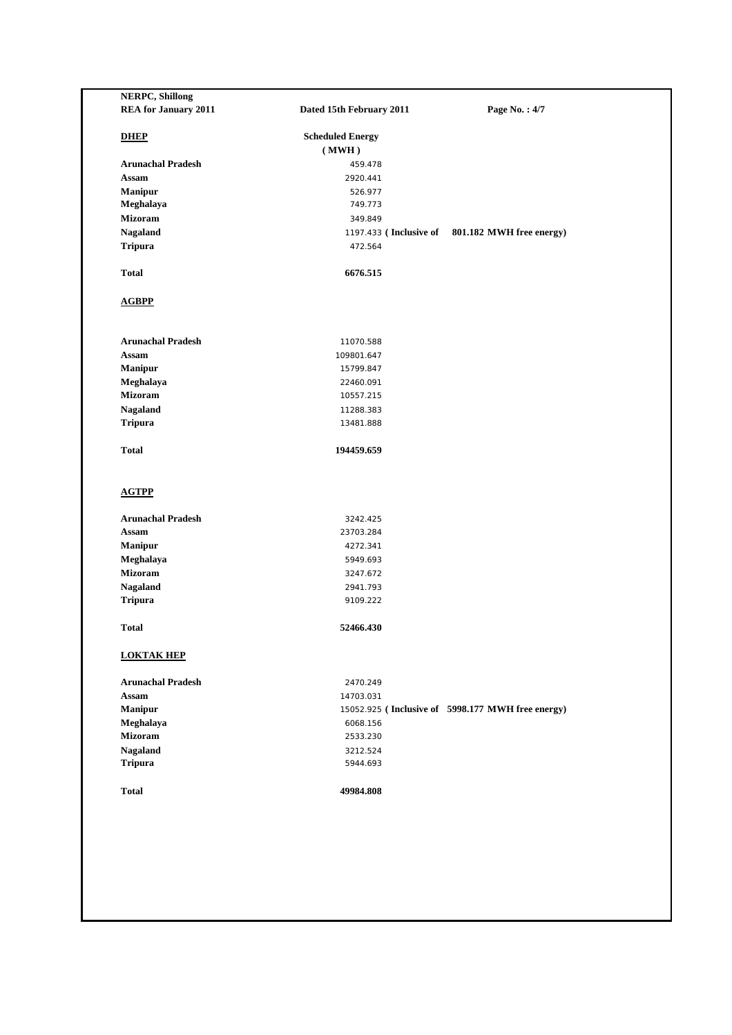| <b>REA for January 2011</b> | Dated 15th February 2011 | Page No.: 4/7                                     |
|-----------------------------|--------------------------|---------------------------------------------------|
| <b>DHEP</b>                 | <b>Scheduled Energy</b>  |                                                   |
|                             | (MWH)                    |                                                   |
| <b>Arunachal Pradesh</b>    | 459.478                  |                                                   |
| Assam                       | 2920.441                 |                                                   |
| Manipur                     | 526.977                  |                                                   |
| Meghalaya                   | 749.773                  |                                                   |
| <b>Mizoram</b>              | 349.849                  |                                                   |
| Nagaland                    | 1197.433 (Inclusive of   | 801.182 MWH free energy)                          |
| <b>Tripura</b>              | 472.564                  |                                                   |
| <b>Total</b>                | 6676.515                 |                                                   |
| <b>AGBPP</b>                |                          |                                                   |
| <b>Arunachal Pradesh</b>    | 11070.588                |                                                   |
| <b>Assam</b>                | 109801.647               |                                                   |
| Manipur                     | 15799.847                |                                                   |
| Meghalaya                   | 22460.091                |                                                   |
| <b>Mizoram</b>              | 10557.215                |                                                   |
| Nagaland                    | 11288.383                |                                                   |
| <b>Tripura</b>              | 13481.888                |                                                   |
| <b>Total</b>                | 194459.659               |                                                   |
| <b>AGTPP</b>                |                          |                                                   |
| <b>Arunachal Pradesh</b>    | 3242.425                 |                                                   |
| Assam                       | 23703.284                |                                                   |
| <b>Manipur</b>              | 4272.341                 |                                                   |
| Meghalaya                   | 5949.693                 |                                                   |
| <b>Mizoram</b>              | 3247.672                 |                                                   |
| Nagaland                    | 2941.793                 |                                                   |
| <b>Tripura</b>              | 9109.222                 |                                                   |
| <b>Total</b>                | 52466.430                |                                                   |
| <b>LOKTAK HEP</b>           |                          |                                                   |
| <b>Arunachal Pradesh</b>    | 2470.249                 |                                                   |
| Assam                       | 14703.031                |                                                   |
| Manipur                     |                          | 15052.925 (Inclusive of 5998.177 MWH free energy) |
| Meghalaya                   | 6068.156                 |                                                   |
| Mizoram                     | 2533.230                 |                                                   |
| Nagaland                    | 3212.524                 |                                                   |
| <b>Tripura</b>              | 5944.693                 |                                                   |
| <b>Total</b>                | 49984.808                |                                                   |
|                             |                          |                                                   |
|                             |                          |                                                   |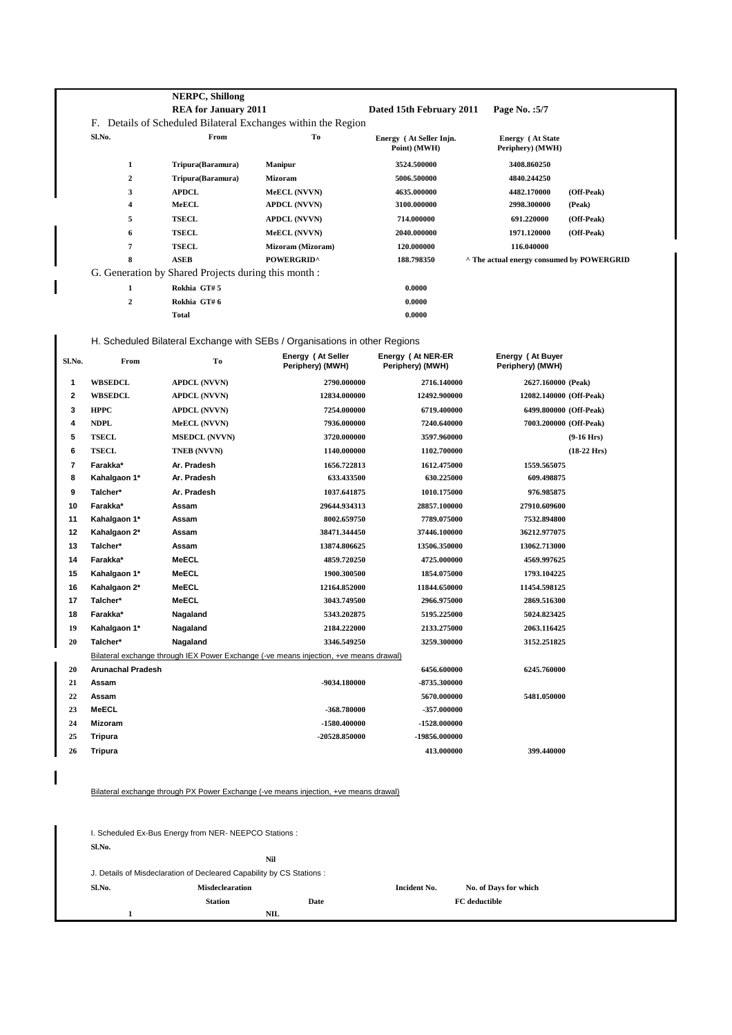|        |                          | <b>NERPC, Shillong</b>                                                |                                                                                       |                                         |                                             |                       |
|--------|--------------------------|-----------------------------------------------------------------------|---------------------------------------------------------------------------------------|-----------------------------------------|---------------------------------------------|-----------------------|
|        |                          | <b>REA for January 2011</b>                                           |                                                                                       | Dated 15th February 2011                | Page No.: 5/7                               |                       |
|        |                          |                                                                       | F. Details of Scheduled Bilateral Exchanges within the Region                         |                                         |                                             |                       |
|        | Sl.No.                   | From                                                                  | To                                                                                    | Energy (At Seller Injn.<br>Point) (MWH) | <b>Energy</b> (At State<br>Periphery) (MWH) |                       |
|        | $\mathbf{1}$             | Tripura(Baramura)                                                     | <b>Manipur</b>                                                                        | 3524.500000                             | 3408.860250                                 |                       |
|        | $\boldsymbol{2}$         | Tripura(Baramura)                                                     | <b>Mizoram</b>                                                                        | 5006.500000                             | 4840.244250                                 |                       |
|        | 3                        | <b>APDCL</b>                                                          | MeECL (NVVN)                                                                          | 4635.000000                             | 4482.170000                                 | (Off-Peak)            |
|        | $\overline{\mathbf{4}}$  | MeECL                                                                 | <b>APDCL (NVVN)</b>                                                                   | 3100.000000                             | 2998.300000                                 | (Peak)                |
|        | 5                        | <b>TSECL</b>                                                          | <b>APDCL (NVVN)</b>                                                                   | 714.000000                              | 691.220000                                  | (Off-Peak)            |
|        | 6                        | <b>TSECL</b>                                                          | MeECL (NVVN)                                                                          | 2040.000000                             | 1971.120000                                 | (Off-Peak)            |
|        | $\overline{7}$           | <b>TSECL</b>                                                          | Mizoram (Mizoram)                                                                     | 120.000000                              | 116.040000                                  |                       |
|        | 8                        | <b>ASEB</b>                                                           | <b>POWERGRID^</b>                                                                     | 188.798350                              | ^ The actual energy consumed by POWERGRID   |                       |
|        |                          | G. Generation by Shared Projects during this month :                  |                                                                                       |                                         |                                             |                       |
|        | 1                        | Rokhia GT#5                                                           |                                                                                       | 0.0000                                  |                                             |                       |
|        | $\mathbf 2$              | Rokhia GT#6                                                           |                                                                                       | 0.0000                                  |                                             |                       |
|        |                          | <b>Total</b>                                                          |                                                                                       | 0.0000                                  |                                             |                       |
|        |                          |                                                                       | H. Scheduled Bilateral Exchange with SEBs / Organisations in other Regions            |                                         |                                             |                       |
|        |                          |                                                                       | Energy (At Seller                                                                     | Energy (At NER-ER                       | Energy (At Buyer                            |                       |
| Sl.No. | From                     | To                                                                    | Periphery) (MWH)                                                                      | Periphery) (MWH)                        | Periphery) (MWH)                            |                       |
| 1      | <b>WBSEDCL</b>           | <b>APDCL (NVVN)</b>                                                   | 2790.000000                                                                           | 2716.140000                             | 2627.160000 (Peak)                          |                       |
| 2      | <b>WBSEDCL</b>           | <b>APDCL (NVVN)</b>                                                   | 12834.000000                                                                          | 12492.900000                            | 12082.140000 (Off-Peak)                     |                       |
| 3      | <b>HPPC</b>              | <b>APDCL (NVVN)</b>                                                   | 7254.000000                                                                           | 6719.400000                             | 6499.800000 (Off-Peak)                      |                       |
| 4      | <b>NDPL</b>              | MeECL (NVVN)                                                          | 7936.000000                                                                           | 7240.640000                             | 7003.200000 (Off-Peak)                      |                       |
| 5      | <b>TSECL</b>             | <b>MSEDCL (NVVN)</b>                                                  | 3720.000000                                                                           | 3597.960000                             |                                             | $(9-16$ Hrs)          |
| 6      | <b>TSECL</b>             | TNEB (NVVN)                                                           | 1140.000000                                                                           | 1102.700000                             |                                             | $(18-22 \text{ Hrs})$ |
| 7      | Farakka*                 | Ar. Pradesh                                                           | 1656.722813                                                                           | 1612.475000                             | 1559.565075                                 |                       |
| 8      | Kahalgaon 1*             | Ar. Pradesh                                                           | 633.433500                                                                            | 630.225000                              | 609.498875                                  |                       |
| 9      | Talcher*                 | Ar. Pradesh                                                           | 1037.641875                                                                           | 1010.175000                             | 976.985875                                  |                       |
| 10     | Farakka*                 | Assam                                                                 | 29644.934313                                                                          | 28857.100000                            | 27910.609600                                |                       |
| 11     | Kahalgaon 1*             | Assam                                                                 | 8002.659750                                                                           | 7789.075000                             | 7532.894800                                 |                       |
| 12     | Kahalgaon 2*             | Assam                                                                 | 38471.344450                                                                          | 37446.100000                            | 36212.977075                                |                       |
| 13     | Talcher*                 | Assam                                                                 | 13874.806625                                                                          | 13506.350000                            | 13062.713000                                |                       |
| 14     | Farakka*                 | MeECL                                                                 | 4859.720250                                                                           | 4725.000000                             | 4569.997625                                 |                       |
| 15     | Kahalgaon 1*             | <b>MeECL</b>                                                          | 1900.300500                                                                           | 1854.075000                             | 1793.104225                                 |                       |
| 16     | Kahalgaon 2*             | MeECL                                                                 | 12164.852000                                                                          | 11844.650000                            | 11454.598125                                |                       |
| 17     | Talcher*                 | MeECL                                                                 | 3043.749500                                                                           | 2966.975000                             | 2869.516300                                 |                       |
| 18     | Farakka*                 | Nagaland                                                              | 5343.202875                                                                           | 5195.225000                             | 5024.823425                                 |                       |
| 19     | Kahalgaon 1*             | Nagaland                                                              | 2184.222000                                                                           | 2133.275000                             | 2063.116425                                 |                       |
| 20     | Talcher*                 | Nagaland                                                              | 3346.549250                                                                           | 3259.300000                             | 3152.251825                                 |                       |
|        |                          |                                                                       | Bilateral exchange through IEX Power Exchange (-ve means injection, +ve means drawal) |                                         |                                             |                       |
| 20     | <b>Arunachal Pradesh</b> |                                                                       |                                                                                       | 6456.600000                             | 6245.760000                                 |                       |
| 21     | Assam                    |                                                                       | -9034.180000                                                                          | -8735.300000                            |                                             |                       |
| 22     | Assam                    |                                                                       |                                                                                       | 5670.000000                             | 5481.050000                                 |                       |
| 23     | MeECL                    |                                                                       | -368.780000                                                                           | -357.000000                             |                                             |                       |
| 24     | <b>Mizoram</b>           |                                                                       | -1580.400000                                                                          | -1528.000000                            |                                             |                       |
| 25     | Tripura                  |                                                                       | -20528.850000                                                                         | -19856.000000                           |                                             |                       |
| 26     | <b>Tripura</b>           |                                                                       |                                                                                       | 413.000000                              | 399.440000                                  |                       |
|        |                          |                                                                       | Bilateral exchange through PX Power Exchange (-ve means injection, +ve means drawal)  |                                         |                                             |                       |
|        |                          |                                                                       |                                                                                       |                                         |                                             |                       |
|        |                          | I. Scheduled Ex-Bus Energy from NER-NEEPCO Stations :                 |                                                                                       |                                         |                                             |                       |
|        | Sl.No.                   |                                                                       |                                                                                       |                                         |                                             |                       |
|        |                          |                                                                       | Nil                                                                                   |                                         |                                             |                       |
|        |                          | J. Details of Misdeclaration of Decleared Capability by CS Stations : |                                                                                       |                                         |                                             |                       |
|        | Sl.No.                   | Misdeclearation                                                       |                                                                                       | <b>Incident No.</b>                     | No. of Days for which                       |                       |
|        |                          | <b>Station</b>                                                        | Date                                                                                  |                                         | FC deductible                               |                       |
|        | $\mathbf{1}$             |                                                                       | $\mathbf{NIL}$                                                                        |                                         |                                             |                       |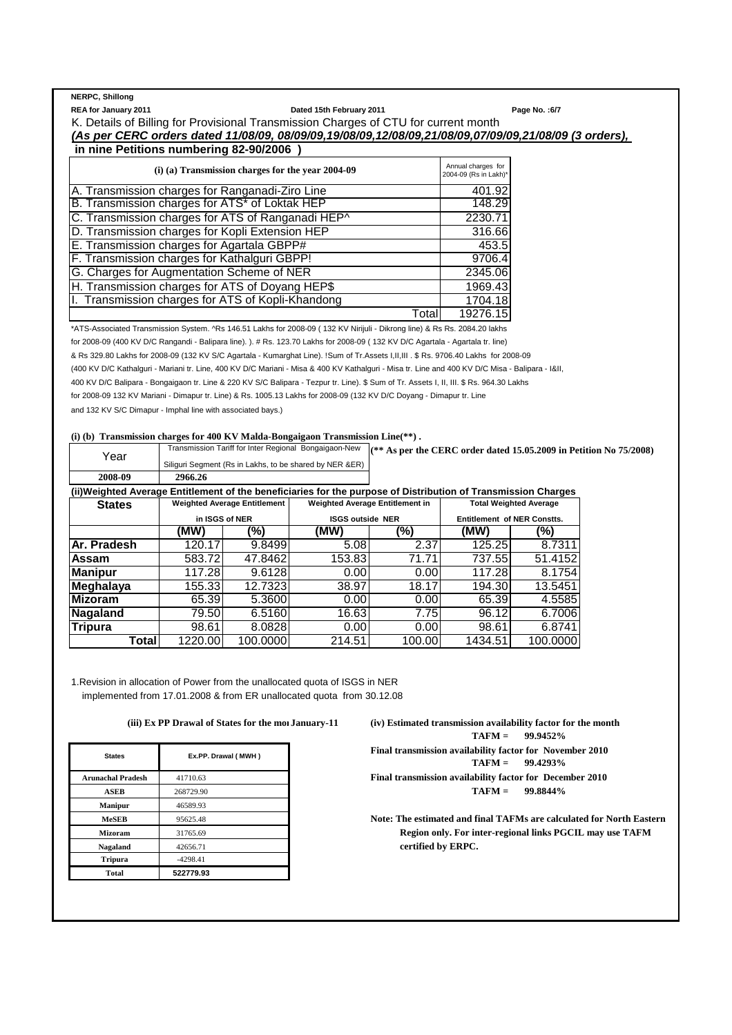**NERPC, Shillong**

**REA for January 2011 Dated 15th February 2011 Page No. :6/7**

K. Details of Billing for Provisional Transmission Charges of CTU for current month *(As per CERC orders dated 11/08/09, 08/09/09,19/08/09,12/08/09,21/08/09,07/09/09,21/08/09 (3 orders),*   **in nine Petitions numbering 82-90/2006 )**

| $(i)$ (a) Transmission charges for the year 2004-09 | Annual charges for<br>2004-09 (Rs in Lakh)* |
|-----------------------------------------------------|---------------------------------------------|
| A. Transmission charges for Ranganadi-Ziro Line     | 401.92                                      |
| B. Transmission charges for ATS* of Loktak HEP      | 148.29                                      |
| C. Transmission charges for ATS of Ranganadi HEP^   | 2230.71                                     |
| D. Transmission charges for Kopli Extension HEP     | 316.66                                      |
| E. Transmission charges for Agartala GBPP#          | 453.5                                       |
| F. Transmission charges for Kathalguri GBPP!        | 9706.4                                      |
| G. Charges for Augmentation Scheme of NER           | 2345.06                                     |
| H. Transmission charges for ATS of Doyang HEP\$     | 1969.43                                     |
| I. Transmission charges for ATS of Kopli-Khandong   | 1704.18                                     |
| Total                                               | 19276.15                                    |

\*ATS-Associated Transmission System. ^Rs 146.51 Lakhs for 2008-09 ( 132 KV Nirijuli - Dikrong line) & Rs Rs. 2084.20 lakhs for 2008-09 (400 KV D/C Rangandi - Balipara line). ). # Rs. 123.70 Lakhs for 2008-09 ( 132 KV D/C Agartala - Agartala tr. line) & Rs 329.80 Lakhs for 2008-09 (132 KV S/C Agartala - Kumarghat Line). !Sum of Tr.Assets I,II,III . \$ Rs. 9706.40 Lakhs for 2008-09 (400 KV D/C Kathalguri - Mariani tr. Line, 400 KV D/C Mariani - Misa & 400 KV Kathalguri - Misa tr. Line and 400 KV D/C Misa - Balipara - I&II, 400 KV D/C Balipara - Bongaigaon tr. Line & 220 KV S/C Balipara - Tezpur tr. Line). \$ Sum of Tr. Assets I, II, III. \$ Rs. 964.30 Lakhs for 2008-09 132 KV Mariani - Dimapur tr. Line) & Rs. 1005.13 Lakhs for 2008-09 (132 KV D/C Doyang - Dimapur tr. Line and 132 KV S/C Dimapur - Imphal line with associated bays.)

### **(i) (b) Transmission charges for 400 KV Malda-Bongaigaon Transmission Line(\*\*) .**

| Year                                                                                                          |                                     |                | Transmission Tariff for Inter Regional Bongaigaon-New   | $(*$ As per the CERC order dated 15.05.2009 in Petition No $75/2008$ ) |                                    |                               |  |  |
|---------------------------------------------------------------------------------------------------------------|-------------------------------------|----------------|---------------------------------------------------------|------------------------------------------------------------------------|------------------------------------|-------------------------------|--|--|
|                                                                                                               |                                     |                | Siliguri Segment (Rs in Lakhs, to be shared by NER &ER) |                                                                        |                                    |                               |  |  |
| 2008-09                                                                                                       | 2966.26                             |                |                                                         |                                                                        |                                    |                               |  |  |
| (ii)Weighted Average Entitlement of the beneficiaries for the purpose of Distribution of Transmission Charges |                                     |                |                                                         |                                                                        |                                    |                               |  |  |
| <b>States</b>                                                                                                 | <b>Weighted Average Entitlement</b> |                |                                                         | Weighted Average Entitlement in                                        |                                    | <b>Total Weighted Average</b> |  |  |
|                                                                                                               |                                     | in ISGS of NER | <b>ISGS outside NER</b>                                 |                                                                        | <b>Entitlement of NER Constts.</b> |                               |  |  |
|                                                                                                               | (MW)                                | (%)            | (MW)                                                    | (%)                                                                    | (MW)                               | (%)                           |  |  |
| IAr. Pradesh                                                                                                  | 120.17                              | 9.8499         | 5.08                                                    | 2.37                                                                   | 125.25                             | 8.7311                        |  |  |
| Assam                                                                                                         | 583.72                              | 47.8462        | 153.83                                                  | 71.71                                                                  | 737.551                            | 51.4152                       |  |  |
| <b>Manipur</b>                                                                                                | 117.28                              | 9.6128         | 0.00                                                    | 0.00                                                                   | 117.28                             | 8.1754                        |  |  |
| <b>Meghalaya</b>                                                                                              | 155.331                             | 12.7323        | 38.97                                                   | 18.17                                                                  | 194.30                             | 13.5451                       |  |  |
| <b>Mizoram</b>                                                                                                | 65.39                               | 5.3600         | 0.00                                                    | 0.00                                                                   | 65.39                              | 4.5585                        |  |  |
| Nagaland                                                                                                      | 79.50                               | 6.5160         | 16.63                                                   | 7.75                                                                   | 96.12                              | 6.7006                        |  |  |
| <b>Tripura</b>                                                                                                | 98.61                               | 8.0828         | 0.00                                                    | 0.00                                                                   | 98.61                              | 6.8741                        |  |  |
| Totall                                                                                                        | 1220.00                             | 100.0000       | 214.51                                                  | 100.00                                                                 | 1434.51                            | 100.0000                      |  |  |

1.Revision in allocation of Power from the unallocated quota of ISGS in NER implemented from 17.01.2008 & from ER unallocated quota from 30.12.08

| <b>States</b>            | Ex.PP. Drawal (MWH) |
|--------------------------|---------------------|
| <b>Arunachal Pradesh</b> | 41710.63            |
| <b>ASEB</b>              | 268729.90           |
| <b>Manipur</b>           | 46589.93            |
| <b>MeSEB</b>             | 95625.48            |
| <b>Mizoram</b>           | 31765.69            |
| Nagaland                 | 42656.71            |
| <b>Tripura</b>           | $-4298.41$          |
| <b>Total</b>             | 522779.93           |

 **(iii) Ex PP Drawal of States for the month of January-11 (iv) Estimated transmission availability factor for the month TAFM = 99.9452% Final transmission availability factor for November 2010**<br>TAFM =  $99.4293\%$ **TAFM = 99.4293% Final transmission availability factor for December 2010 ASEB** 268729.90 **TAFM = 99.8844%**

> Note: The estimated and final TAFMs are calculated for North Eastern Region only. For inter-regional links PGCIL may use TAFM **Nagaland** 42656.71 **certified by ERPC.**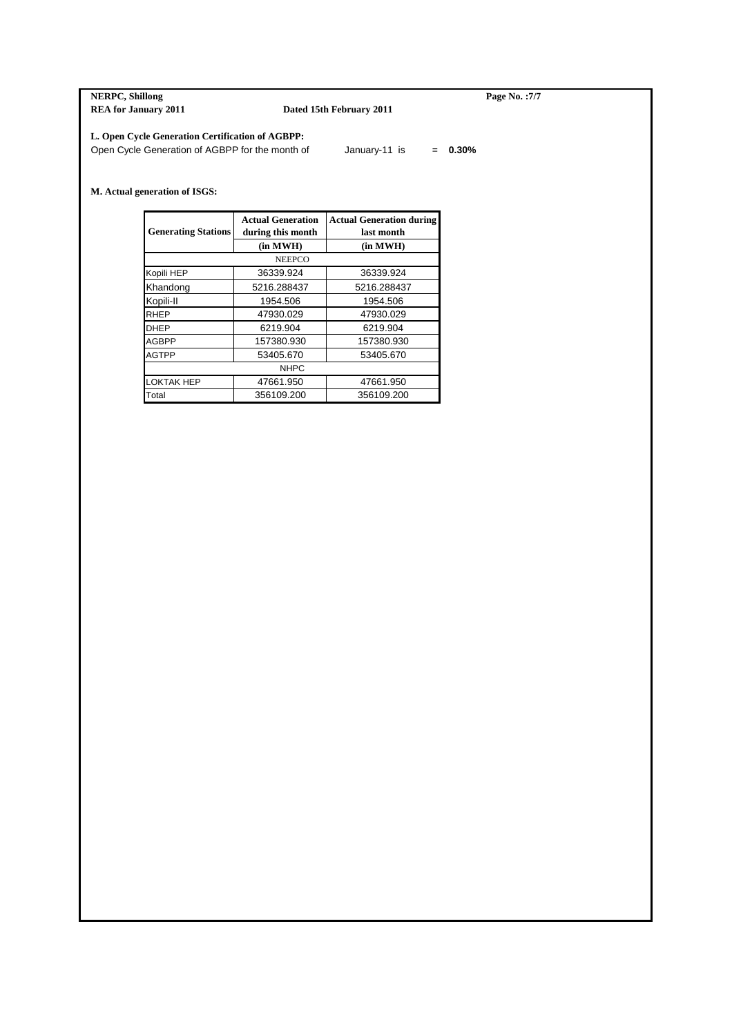**NERPC, Shillong Page No. :7/7**<br>**REA for January 2011 Dated 15th February 2011 Page No. :7/7 Dated 15th February 2011** 

## **L. Open Cycle Generation Certification of AGBPP:**

Open Cycle Generation of AGBPP for the month of January-11 is = 0.30%

## **M. Actual generation of ISGS:**

| <b>Generating Stations</b> | <b>Actual Generation</b><br>during this month | <b>Actual Generation during</b><br>last month |
|----------------------------|-----------------------------------------------|-----------------------------------------------|
|                            | (in MWH)                                      | (in MWH)                                      |
|                            | <b>NEEPCO</b>                                 |                                               |
| Kopili HEP                 | 36339.924                                     | 36339.924                                     |
| Khandong                   | 5216.288437                                   | 5216.288437                                   |
| Kopili-II                  | 1954.506                                      | 1954.506                                      |
| <b>RHEP</b>                | 47930.029                                     | 47930.029                                     |
| <b>DHEP</b>                | 6219.904                                      | 6219.904                                      |
| <b>AGBPP</b>               | 157380.930                                    | 157380.930                                    |
| <b>AGTPP</b>               | 53405.670                                     | 53405.670                                     |
|                            | <b>NHPC</b>                                   |                                               |
| <b>LOKTAK HEP</b>          | 47661.950                                     | 47661.950                                     |
| Total                      | 356109.200                                    | 356109.200                                    |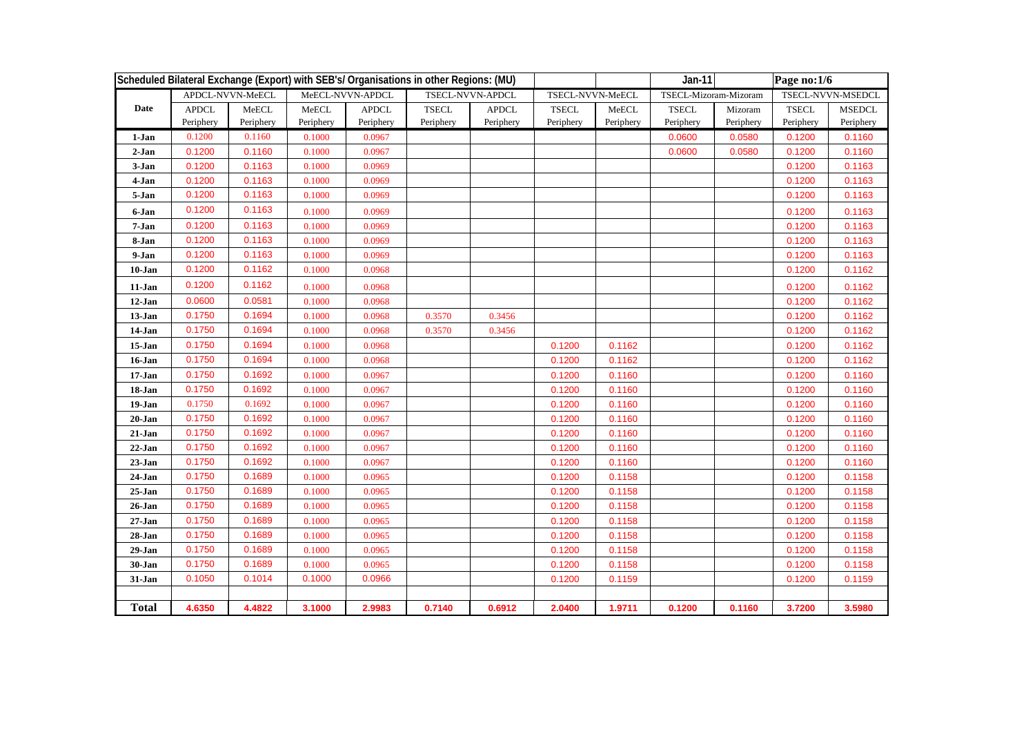|              | Scheduled Bilateral Exchange (Export) with SEB's/ Organisations in other Regions: (MU) |                            |                    |                           |                           |                           | $Jan-11$                            |                            | Page no:1/6               |                      |                           |                            |
|--------------|----------------------------------------------------------------------------------------|----------------------------|--------------------|---------------------------|---------------------------|---------------------------|-------------------------------------|----------------------------|---------------------------|----------------------|---------------------------|----------------------------|
|              |                                                                                        | APDCL-NVVN-MeECL           |                    | MeECL-NVVN-APDCL          |                           | TSECL-NVVN-APDCL          | TSECL-NVVN-MeECL                    |                            | TSECL-Mizoram-Mizoram     |                      |                           | TSECL-NVVN-MSEDCL          |
| Date         | <b>APDCL</b><br>Periphery                                                              | ${\rm MeECL}$<br>Periphery | MeECL<br>Periphery | <b>APDCL</b><br>Periphery | <b>TSECL</b><br>Periphery | <b>APDCL</b><br>Periphery | $\operatorname{TSECL}$<br>Periphery | ${\sf MeECL}$<br>Periphery | <b>TSECL</b><br>Periphery | Mizoram<br>Periphery | <b>TSECL</b><br>Periphery | <b>MSEDCL</b><br>Periphery |
| 1-Jan        | 0.1200                                                                                 | 0.1160                     | 0.1000             | 0.0967                    |                           |                           |                                     |                            | 0.0600                    | 0.0580               | 0.1200                    | 0.1160                     |
| $2-Jan$      | 0.1200                                                                                 | 0.1160                     | 0.1000             | 0.0967                    |                           |                           |                                     |                            | 0.0600                    | 0.0580               | 0.1200                    | 0.1160                     |
| 3-Jan        | 0.1200                                                                                 | 0.1163                     | 0.1000             | 0.0969                    |                           |                           |                                     |                            |                           |                      | 0.1200                    | 0.1163                     |
| 4-Jan        | 0.1200                                                                                 | 0.1163                     | 0.1000             | 0.0969                    |                           |                           |                                     |                            |                           |                      | 0.1200                    | 0.1163                     |
| 5-Jan        | 0.1200                                                                                 | 0.1163                     | 0.1000             | 0.0969                    |                           |                           |                                     |                            |                           |                      | 0.1200                    | 0.1163                     |
| 6-Jan        | 0.1200                                                                                 | 0.1163                     | 0.1000             | 0.0969                    |                           |                           |                                     |                            |                           |                      | 0.1200                    | 0.1163                     |
| $7-Jan$      | 0.1200                                                                                 | 0.1163                     | 0.1000             | 0.0969                    |                           |                           |                                     |                            |                           |                      | 0.1200                    | 0.1163                     |
| 8-Jan        | 0.1200                                                                                 | 0.1163                     | 0.1000             | 0.0969                    |                           |                           |                                     |                            |                           |                      | 0.1200                    | 0.1163                     |
| 9-Jan        | 0.1200                                                                                 | 0.1163                     | 0.1000             | 0.0969                    |                           |                           |                                     |                            |                           |                      | 0.1200                    | 0.1163                     |
| $10 - Jan$   | 0.1200                                                                                 | 0.1162                     | 0.1000             | 0.0968                    |                           |                           |                                     |                            |                           |                      | 0.1200                    | 0.1162                     |
| $11-Jan$     | 0.1200                                                                                 | 0.1162                     | 0.1000             | 0.0968                    |                           |                           |                                     |                            |                           |                      | 0.1200                    | 0.1162                     |
| $12 - Jan$   | 0.0600                                                                                 | 0.0581                     | 0.1000             | 0.0968                    |                           |                           |                                     |                            |                           |                      | 0.1200                    | 0.1162                     |
| $13 - Jan$   | 0.1750                                                                                 | 0.1694                     | 0.1000             | 0.0968                    | 0.3570                    | 0.3456                    |                                     |                            |                           |                      | 0.1200                    | 0.1162                     |
| $14-Jan$     | 0.1750                                                                                 | 0.1694                     | 0.1000             | 0.0968                    | 0.3570                    | 0.3456                    |                                     |                            |                           |                      | 0.1200                    | 0.1162                     |
| $15 - Jan$   | 0.1750                                                                                 | 0.1694                     | 0.1000             | 0.0968                    |                           |                           | 0.1200                              | 0.1162                     |                           |                      | 0.1200                    | 0.1162                     |
| $16 - Jan$   | 0.1750                                                                                 | 0.1694                     | 0.1000             | 0.0968                    |                           |                           | 0.1200                              | 0.1162                     |                           |                      | 0.1200                    | 0.1162                     |
| $17-Jan$     | 0.1750                                                                                 | 0.1692                     | 0.1000             | 0.0967                    |                           |                           | 0.1200                              | 0.1160                     |                           |                      | 0.1200                    | 0.1160                     |
| 18-Jan       | 0.1750                                                                                 | 0.1692                     | 0.1000             | 0.0967                    |                           |                           | 0.1200                              | 0.1160                     |                           |                      | 0.1200                    | 0.1160                     |
| $19-Jan$     | 0.1750                                                                                 | 0.1692                     | 0.1000             | 0.0967                    |                           |                           | 0.1200                              | 0.1160                     |                           |                      | 0.1200                    | 0.1160                     |
| $20 - Jan$   | 0.1750                                                                                 | 0.1692                     | 0.1000             | 0.0967                    |                           |                           | 0.1200                              | 0.1160                     |                           |                      | 0.1200                    | 0.1160                     |
| $21-Jan$     | 0.1750                                                                                 | 0.1692                     | 0.1000             | 0.0967                    |                           |                           | 0.1200                              | 0.1160                     |                           |                      | 0.1200                    | 0.1160                     |
| $22-Jan$     | 0.1750                                                                                 | 0.1692                     | 0.1000             | 0.0967                    |                           |                           | 0.1200                              | 0.1160                     |                           |                      | 0.1200                    | 0.1160                     |
| $23 - Jan$   | 0.1750                                                                                 | 0.1692                     | 0.1000             | 0.0967                    |                           |                           | 0.1200                              | 0.1160                     |                           |                      | 0.1200                    | 0.1160                     |
| $24-Jan$     | 0.1750                                                                                 | 0.1689                     | 0.1000             | 0.0965                    |                           |                           | 0.1200                              | 0.1158                     |                           |                      | 0.1200                    | 0.1158                     |
| $25 - Jan$   | 0.1750                                                                                 | 0.1689                     | 0.1000             | 0.0965                    |                           |                           | 0.1200                              | 0.1158                     |                           |                      | 0.1200                    | 0.1158                     |
| $26 - Jan$   | 0.1750                                                                                 | 0.1689                     | 0.1000             | 0.0965                    |                           |                           | 0.1200                              | 0.1158                     |                           |                      | 0.1200                    | 0.1158                     |
| $27 - Jan$   | 0.1750                                                                                 | 0.1689                     | 0.1000             | 0.0965                    |                           |                           | 0.1200                              | 0.1158                     |                           |                      | 0.1200                    | 0.1158                     |
| $28 - Jan$   | 0.1750                                                                                 | 0.1689                     | 0.1000             | 0.0965                    |                           |                           | 0.1200                              | 0.1158                     |                           |                      | 0.1200                    | 0.1158                     |
| $29 - Jan$   | 0.1750                                                                                 | 0.1689                     | 0.1000             | 0.0965                    |                           |                           | 0.1200                              | 0.1158                     |                           |                      | 0.1200                    | 0.1158                     |
| $30 - Jan$   | 0.1750                                                                                 | 0.1689                     | 0.1000             | 0.0965                    |                           |                           | 0.1200                              | 0.1158                     |                           |                      | 0.1200                    | 0.1158                     |
| 31-Jan       | 0.1050                                                                                 | 0.1014                     | 0.1000             | 0.0966                    |                           |                           | 0.1200                              | 0.1159                     |                           |                      | 0.1200                    | 0.1159                     |
| <b>Total</b> | 4.6350                                                                                 | 4.4822                     | 3.1000             | 2.9983                    | 0.7140                    | 0.6912                    | 2.0400                              | 1.9711                     | 0.1200                    | 0.1160               | 3.7200                    | 3.5980                     |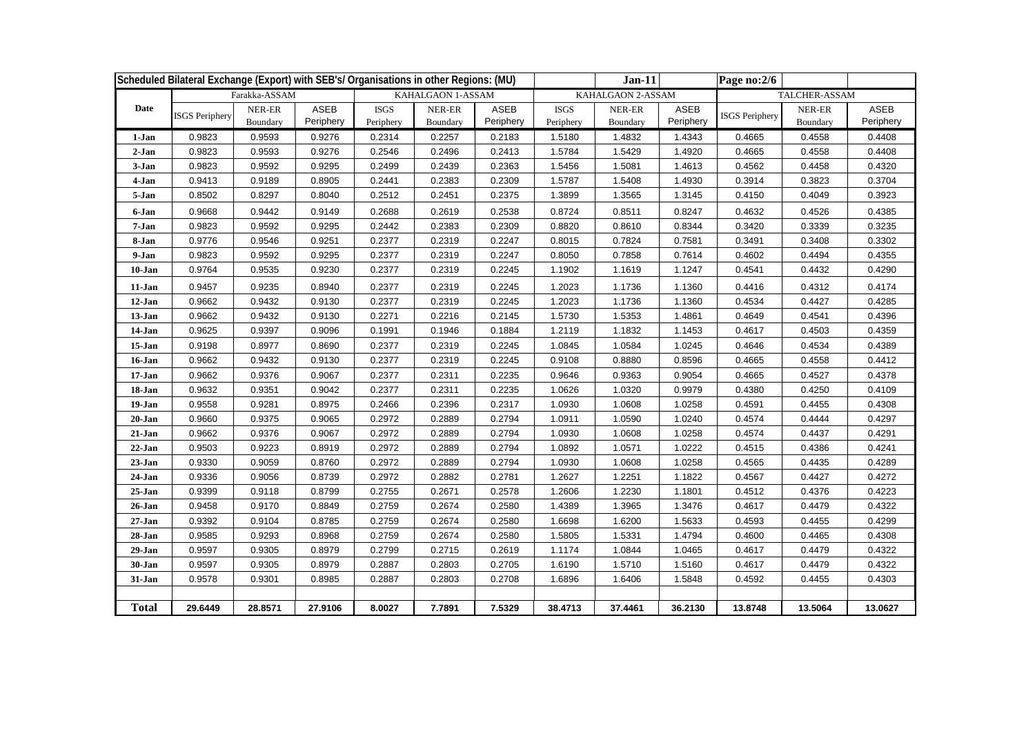|              | Scheduled Bilateral Exchange (Export) with SEB's/ Organisations in other Regions: (MU) |                    |                   |                          |                    |                   |                          |                    |                   |                       |                    |                   |
|--------------|----------------------------------------------------------------------------------------|--------------------|-------------------|--------------------------|--------------------|-------------------|--------------------------|--------------------|-------------------|-----------------------|--------------------|-------------------|
|              |                                                                                        | Farakka-ASSAM      |                   |                          | KAHALGAON 1-ASSAM  |                   |                          | KAHALGAON 2-ASSAM  |                   |                       | TALCHER-ASSAM      |                   |
| Date         | <b>ISGS Periphery</b>                                                                  | NER-ER<br>Boundary | ASEB<br>Periphery | <b>ISGS</b><br>Periphery | NER-ER<br>Boundary | ASEB<br>Periphery | <b>ISGS</b><br>Periphery | NER-ER<br>Boundary | ASEB<br>Periphery | <b>ISGS</b> Periphery | NER-ER<br>Boundary | ASEB<br>Periphery |
| 1-Jan        | 0.9823                                                                                 | 0.9593             | 0.9276            | 0.2314                   | 0.2257             | 0.2183            | 1.5180                   | 1.4832             | 1.4343            | 0.4665                | 0.4558             | 0.4408            |
| $2-Jan$      | 0.9823                                                                                 | 0.9593             | 0.9276            | 0.2546                   | 0.2496             | 0.2413            | 1.5784                   | 1.5429             | 1.4920            | 0.4665                | 0.4558             | 0.4408            |
| 3-Jan        | 0.9823                                                                                 | 0.9592             | 0.9295            | 0.2499                   | 0.2439             | 0.2363            | 1.5456                   | 1.5081             | 1.4613            | 0.4562                | 0.4458             | 0.4320            |
| 4-Jan        | 0.9413                                                                                 | 0.9189             | 0.8905            | 0.2441                   | 0.2383             | 0.2309            | 1.5787                   | 1.5408             | 1.4930            | 0.3914                | 0.3823             | 0.3704            |
| 5-Jan        | 0.8502                                                                                 | 0.8297             | 0.8040            | 0.2512                   | 0.2451             | 0.2375            | 1.3899                   | 1.3565             | 1.3145            | 0.4150                | 0.4049             | 0.3923            |
| 6-Jan        | 0.9668                                                                                 | 0.9442             | 0.9149            | 0.2688                   | 0.2619             | 0.2538            | 0.8724                   | 0.8511             | 0.8247            | 0.4632                | 0.4526             | 0.4385            |
| 7-Jan        | 0.9823                                                                                 | 0.9592             | 0.9295            | 0.2442                   | 0.2383             | 0.2309            | 0.8820                   | 0.8610             | 0.8344            | 0.3420                | 0.3339             | 0.3235            |
| 8-Jan        | 0.9776                                                                                 | 0.9546             | 0.9251            | 0.2377                   | 0.2319             | 0.2247            | 0.8015                   | 0.7824             | 0.7581            | 0.3491                | 0.3408             | 0.3302            |
| 9-Jan        | 0.9823                                                                                 | 0.9592             | 0.9295            | 0.2377                   | 0.2319             | 0.2247            | 0.8050                   | 0.7858             | 0.7614            | 0.4602                | 0.4494             | 0.4355            |
| $10-Jan$     | 0.9764                                                                                 | 0.9535             | 0.9230            | 0.2377                   | 0.2319             | 0.2245            | 1.1902                   | 1.1619             | 1.1247            | 0.4541                | 0.4432             | 0.4290            |
| 11-Jan       | 0.9457                                                                                 | 0.9235             | 0.8940            | 0.2377                   | 0.2319             | 0.2245            | 1.2023                   | 1.1736             | 1.1360            | 0.4416                | 0.4312             | 0.4174            |
| 12-Jan       | 0.9662                                                                                 | 0.9432             | 0.9130            | 0.2377                   | 0.2319             | 0.2245            | 1.2023                   | 1.1736             | 1.1360            | 0.4534                | 0.4427             | 0.4285            |
| 13-Jan       | 0.9662                                                                                 | 0.9432             | 0.9130            | 0.2271                   | 0.2216             | 0.2145            | 1.5730                   | 1.5353             | 1.4861            | 0.4649                | 0.4541             | 0.4396            |
| 14-Jan       | 0.9625                                                                                 | 0.9397             | 0.9096            | 0.1991                   | 0.1946             | 0.1884            | 1.2119                   | 1.1832             | 1.1453            | 0.4617                | 0.4503             | 0.4359            |
| 15-Jan       | 0.9198                                                                                 | 0.8977             | 0.8690            | 0.2377                   | 0.2319             | 0.2245            | 1.0845                   | 1.0584             | 1.0245            | 0.4646                | 0.4534             | 0.4389            |
| 16-Jan       | 0.9662                                                                                 | 0.9432             | 0.9130            | 0.2377                   | 0.2319             | 0.2245            | 0.9108                   | 0.8880             | 0.8596            | 0.4665                | 0.4558             | 0.4412            |
| $17 - Jan$   | 0.9662                                                                                 | 0.9376             | 0.9067            | 0.2377                   | 0.2311             | 0.2235            | 0.9646                   | 0.9363             | 0.9054            | 0.4665                | 0.4527             | 0.4378            |
| 18-Jan       | 0.9632                                                                                 | 0.9351             | 0.9042            | 0.2377                   | 0.2311             | 0.2235            | 1.0626                   | 1.0320             | 0.9979            | 0.4380                | 0.4250             | 0.4109            |
| 19-Jan       | 0.9558                                                                                 | 0.9281             | 0.8975            | 0.2466                   | 0.2396             | 0.2317            | 1.0930                   | 1.0608             | 1.0258            | 0.4591                | 0.4455             | 0.4308            |
| $20 - Jan$   | 0.9660                                                                                 | 0.9375             | 0.9065            | 0.2972                   | 0.2889             | 0.2794            | 1.0911                   | 1.0590             | 1.0240            | 0.4574                | 0.4444             | 0.4297            |
| 21-Jan       | 0.9662                                                                                 | 0.9376             | 0.9067            | 0.2972                   | 0.2889             | 0.2794            | 1.0930                   | 1.0608             | 1.0258            | 0.4574                | 0.4437             | 0.4291            |
| $22-Jan$     | 0.9503                                                                                 | 0.9223             | 0.8919            | 0.2972                   | 0.2889             | 0.2794            | 1.0892                   | 1.0571             | 1.0222            | 0.4515                | 0.4386             | 0.4241            |
| $23-Jan$     | 0.9330                                                                                 | 0.9059             | 0.8760            | 0.2972                   | 0.2889             | 0.2794            | 1.0930                   | 1.0608             | 1.0258            | 0.4565                | 0.4435             | 0.4289            |
| $24-Jan$     | 0.9336                                                                                 | 0.9056             | 0.8739            | 0.2972                   | 0.2882             | 0.2781            | 1.2627                   | 1.2251             | 1.1822            | 0.4567                | 0.4427             | 0.4272            |
| 25-Jan       | 0.9399                                                                                 | 0.9118             | 0.8799            | 0.2755                   | 0.2671             | 0.2578            | 1.2606                   | 1.2230             | 1.1801            | 0.4512                | 0.4376             | 0.4223            |
| 26-Jan       | 0.9458                                                                                 | 0.9170             | 0.8849            | 0.2759                   | 0.2674             | 0.2580            | 1.4389                   | 1.3965             | 1.3476            | 0.4617                | 0.4479             | 0.4322            |
| $27 - Jan$   | 0.9392                                                                                 | 0.9104             | 0.8785            | 0.2759                   | 0.2674             | 0.2580            | 1.6698                   | 1.6200             | 1.5633            | 0.4593                | 0.4455             | 0.4299            |
| 28-Jan       | 0.9585                                                                                 | 0.9293             | 0.8968            | 0.2759                   | 0.2674             | 0.2580            | 1.5805                   | 1.5331             | 1.4794            | 0.4600                | 0.4465             | 0.4308            |
| $29-Jan$     | 0.9597                                                                                 | 0.9305             | 0.8979            | 0.2799                   | 0.2715             | 0.2619            | 1.1174                   | 1.0844             | 1.0465            | 0.4617                | 0.4479             | 0.4322            |
| 30-Jan       | 0.9597                                                                                 | 0.9305             | 0.8979            | 0.2887                   | 0.2803             | 0.2705            | 1.6190                   | 1.5710             | 1.5160            | 0.4617                | 0.4479             | 0.4322            |
| 31-Jan       | 0.9578                                                                                 | 0.9301             | 0.8985            | 0.2887                   | 0.2803             | 0.2708            | 1.6896                   | 1.6406             | 1.5848            | 0.4592                | 0.4455             | 0.4303            |
| <b>Total</b> | 29.6449                                                                                | 28.8571            | 27.9106           | 8.0027                   | 7.7891             | 7.5329            | 38.4713                  | 37.4461            | 36.2130           | 13.8748               | 13.5064            | 13.0627           |
|              |                                                                                        |                    |                   |                          |                    |                   |                          |                    |                   |                       |                    |                   |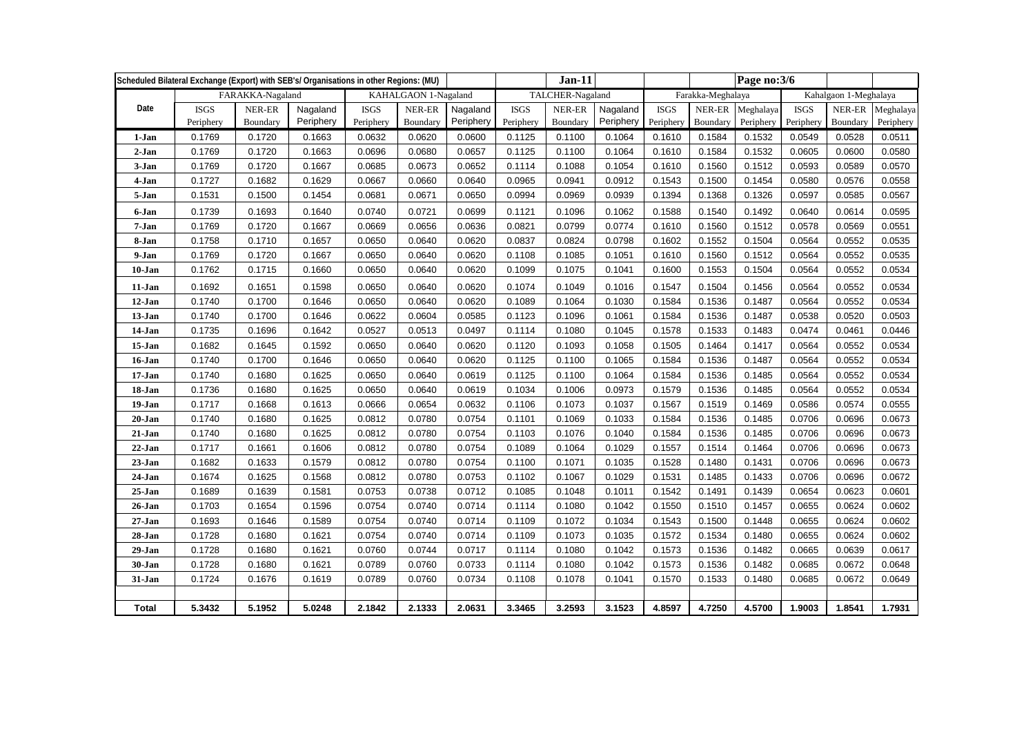| Scheduled Bilateral Exchange (Export) with SEB's/ Organisations in other Regions: (MU) |             |                  |           |                      |          |           |                  |          |           |                   |          |           |                       |          |           |
|----------------------------------------------------------------------------------------|-------------|------------------|-----------|----------------------|----------|-----------|------------------|----------|-----------|-------------------|----------|-----------|-----------------------|----------|-----------|
|                                                                                        |             | FARAKKA-Nagaland |           | KAHALGAON 1-Nagaland |          |           | TALCHER-Nagaland |          |           | Farakka-Meghalaya |          |           | Kahalgaon 1-Meghalaya |          |           |
| Date                                                                                   | <b>ISGS</b> | NER-ER           | Nagaland  | <b>ISGS</b>          | NER-ER   | Nagaland  | <b>ISGS</b>      | NER-ER   | Nagaland  | <b>ISGS</b>       | NER-ER   | Meghalaya | <b>ISGS</b>           | NER-ER   | Meghalaya |
|                                                                                        | Periphery   | Boundary         | Periphery | Periphery            | Boundary | Periphery | Periphery        | Boundary | Periphery | Periphery         | Boundary | Periphery | Periphery             | Boundary | Periphery |
| 1-Jan                                                                                  | 0.1769      | 0.1720           | 0.1663    | 0.0632               | 0.0620   | 0.0600    | 0.1125           | 0.1100   | 0.1064    | 0.1610            | 0.1584   | 0.1532    | 0.0549                | 0.0528   | 0.0511    |
| $2-Jan$                                                                                | 0.1769      | 0.1720           | 0.1663    | 0.0696               | 0.0680   | 0.0657    | 0.1125           | 0.1100   | 0.1064    | 0.1610            | 0.1584   | 0.1532    | 0.0605                | 0.0600   | 0.0580    |
| 3-Jan                                                                                  | 0.1769      | 0.1720           | 0.1667    | 0.0685               | 0.0673   | 0.0652    | 0.1114           | 0.1088   | 0.1054    | 0.1610            | 0.1560   | 0.1512    | 0.0593                | 0.0589   | 0.0570    |
| 4-Jan                                                                                  | 0.1727      | 0.1682           | 0.1629    | 0.0667               | 0.0660   | 0.0640    | 0.0965           | 0.0941   | 0.0912    | 0.1543            | 0.1500   | 0.1454    | 0.0580                | 0.0576   | 0.0558    |
| 5-Jan                                                                                  | 0.1531      | 0.1500           | 0.1454    | 0.0681               | 0.0671   | 0.0650    | 0.0994           | 0.0969   | 0.0939    | 0.1394            | 0.1368   | 0.1326    | 0.0597                | 0.0585   | 0.0567    |
| 6-Jan                                                                                  | 0.1739      | 0.1693           | 0.1640    | 0.0740               | 0.0721   | 0.0699    | 0.1121           | 0.1096   | 0.1062    | 0.1588            | 0.1540   | 0.1492    | 0.0640                | 0.0614   | 0.0595    |
| 7-Jan                                                                                  | 0.1769      | 0.1720           | 0.1667    | 0.0669               | 0.0656   | 0.0636    | 0.0821           | 0.0799   | 0.0774    | 0.1610            | 0.1560   | 0.1512    | 0.0578                | 0.0569   | 0.0551    |
| 8-Jan                                                                                  | 0.1758      | 0.1710           | 0.1657    | 0.0650               | 0.0640   | 0.0620    | 0.0837           | 0.0824   | 0.0798    | 0.1602            | 0.1552   | 0.1504    | 0.0564                | 0.0552   | 0.0535    |
| 9-Jan                                                                                  | 0.1769      | 0.1720           | 0.1667    | 0.0650               | 0.0640   | 0.0620    | 0.1108           | 0.1085   | 0.1051    | 0.1610            | 0.1560   | 0.1512    | 0.0564                | 0.0552   | 0.0535    |
| 10-Jan                                                                                 | 0.1762      | 0.1715           | 0.1660    | 0.0650               | 0.0640   | 0.0620    | 0.1099           | 0.1075   | 0.1041    | 0.1600            | 0.1553   | 0.1504    | 0.0564                | 0.0552   | 0.0534    |
| 11-Jan                                                                                 | 0.1692      | 0.1651           | 0.1598    | 0.0650               | 0.0640   | 0.0620    | 0.1074           | 0.1049   | 0.1016    | 0.1547            | 0.1504   | 0.1456    | 0.0564                | 0.0552   | 0.0534    |
| 12-Jan                                                                                 | 0.1740      | 0.1700           | 0.1646    | 0.0650               | 0.0640   | 0.0620    | 0.1089           | 0.1064   | 0.1030    | 0.1584            | 0.1536   | 0.1487    | 0.0564                | 0.0552   | 0.0534    |
| $13-Jan$                                                                               | 0.1740      | 0.1700           | 0.1646    | 0.0622               | 0.0604   | 0.0585    | 0.1123           | 0.1096   | 0.1061    | 0.1584            | 0.1536   | 0.1487    | 0.0538                | 0.0520   | 0.0503    |
| 14-Jan                                                                                 | 0.1735      | 0.1696           | 0.1642    | 0.0527               | 0.0513   | 0.0497    | 0.1114           | 0.1080   | 0.1045    | 0.1578            | 0.1533   | 0.1483    | 0.0474                | 0.0461   | 0.0446    |
| 15-Jan                                                                                 | 0.1682      | 0.1645           | 0.1592    | 0.0650               | 0.0640   | 0.0620    | 0.1120           | 0.1093   | 0.1058    | 0.1505            | 0.1464   | 0.1417    | 0.0564                | 0.0552   | 0.0534    |
| 16-Jan                                                                                 | 0.1740      | 0.1700           | 0.1646    | 0.0650               | 0.0640   | 0.0620    | 0.1125           | 0.1100   | 0.1065    | 0.1584            | 0.1536   | 0.1487    | 0.0564                | 0.0552   | 0.0534    |
| 17-Jan                                                                                 | 0.1740      | 0.1680           | 0.1625    | 0.0650               | 0.0640   | 0.0619    | 0.1125           | 0.1100   | 0.1064    | 0.1584            | 0.1536   | 0.1485    | 0.0564                | 0.0552   | 0.0534    |
| 18-Jan                                                                                 | 0.1736      | 0.1680           | 0.1625    | 0.0650               | 0.0640   | 0.0619    | 0.1034           | 0.1006   | 0.0973    | 0.1579            | 0.1536   | 0.1485    | 0.0564                | 0.0552   | 0.0534    |
| 19-Jan                                                                                 | 0.1717      | 0.1668           | 0.1613    | 0.0666               | 0.0654   | 0.0632    | 0.1106           | 0.1073   | 0.1037    | 0.1567            | 0.1519   | 0.1469    | 0.0586                | 0.0574   | 0.0555    |
| $20 - Jan$                                                                             | 0.1740      | 0.1680           | 0.1625    | 0.0812               | 0.0780   | 0.0754    | 0.1101           | 0.1069   | 0.1033    | 0.1584            | 0.1536   | 0.1485    | 0.0706                | 0.0696   | 0.0673    |
| $21-Jan$                                                                               | 0.1740      | 0.1680           | 0.1625    | 0.0812               | 0.0780   | 0.0754    | 0.1103           | 0.1076   | 0.1040    | 0.1584            | 0.1536   | 0.1485    | 0.0706                | 0.0696   | 0.0673    |
| $22-Jan$                                                                               | 0.1717      | 0.1661           | 0.1606    | 0.0812               | 0.0780   | 0.0754    | 0.1089           | 0.1064   | 0.1029    | 0.1557            | 0.1514   | 0.1464    | 0.0706                | 0.0696   | 0.0673    |
| $23-Jan$                                                                               | 0.1682      | 0.1633           | 0.1579    | 0.0812               | 0.0780   | 0.0754    | 0.1100           | 0.1071   | 0.1035    | 0.1528            | 0.1480   | 0.1431    | 0.0706                | 0.0696   | 0.0673    |
| $24-Jan$                                                                               | 0.1674      | 0.1625           | 0.1568    | 0.0812               | 0.0780   | 0.0753    | 0.1102           | 0.1067   | 0.1029    | 0.1531            | 0.1485   | 0.1433    | 0.0706                | 0.0696   | 0.0672    |
| $25 - Jan$                                                                             | 0.1689      | 0.1639           | 0.1581    | 0.0753               | 0.0738   | 0.0712    | 0.1085           | 0.1048   | 0.1011    | 0.1542            | 0.1491   | 0.1439    | 0.0654                | 0.0623   | 0.0601    |
| 26-Jan                                                                                 | 0.1703      | 0.1654           | 0.1596    | 0.0754               | 0.0740   | 0.0714    | 0.1114           | 0.1080   | 0.1042    | 0.1550            | 0.1510   | 0.1457    | 0.0655                | 0.0624   | 0.0602    |
| $27 - Jan$                                                                             | 0.1693      | 0.1646           | 0.1589    | 0.0754               | 0.0740   | 0.0714    | 0.1109           | 0.1072   | 0.1034    | 0.1543            | 0.1500   | 0.1448    | 0.0655                | 0.0624   | 0.0602    |
| 28-Jan                                                                                 | 0.1728      | 0.1680           | 0.1621    | 0.0754               | 0.0740   | 0.0714    | 0.1109           | 0.1073   | 0.1035    | 0.1572            | 0.1534   | 0.1480    | 0.0655                | 0.0624   | 0.0602    |
| 29-Jan                                                                                 | 0.1728      | 0.1680           | 0.1621    | 0.0760               | 0.0744   | 0.0717    | 0.1114           | 0.1080   | 0.1042    | 0.1573            | 0.1536   | 0.1482    | 0.0665                | 0.0639   | 0.0617    |
| 30-Jan                                                                                 | 0.1728      | 0.1680           | 0.1621    | 0.0789               | 0.0760   | 0.0733    | 0.1114           | 0.1080   | 0.1042    | 0.1573            | 0.1536   | 0.1482    | 0.0685                | 0.0672   | 0.0648    |
| 31-Jan                                                                                 | 0.1724      | 0.1676           | 0.1619    | 0.0789               | 0.0760   | 0.0734    | 0.1108           | 0.1078   | 0.1041    | 0.1570            | 0.1533   | 0.1480    | 0.0685                | 0.0672   | 0.0649    |
|                                                                                        |             |                  |           |                      |          |           |                  |          |           |                   |          |           |                       |          |           |
| Total                                                                                  | 5.3432      | 5.1952           | 5.0248    | 2.1842               | 2.1333   | 2.0631    | 3.3465           | 3.2593   | 3.1523    | 4.8597            | 4.7250   | 4.5700    | 1.9003                | 1.8541   | 1.7931    |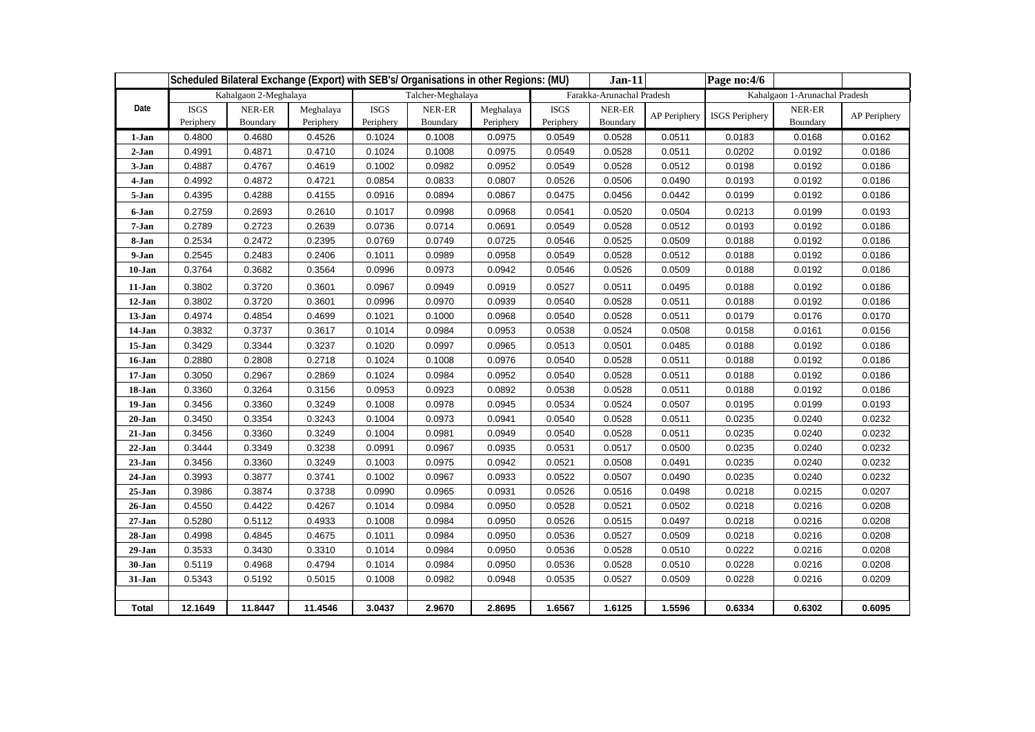|            | Scheduled Bilateral Exchange (Export) with SEB's/ Organisations in other Regions: (MU) |                       |                        |                          |                    |                        |                          | $Jan-11$                  |              | Page no:4/6                   |                    |              |  |  |
|------------|----------------------------------------------------------------------------------------|-----------------------|------------------------|--------------------------|--------------------|------------------------|--------------------------|---------------------------|--------------|-------------------------------|--------------------|--------------|--|--|
|            |                                                                                        | Kahalgaon 2-Meghalaya |                        |                          | Talcher-Meghalaya  |                        |                          | Farakka-Arunachal Pradesh |              | Kahalgaon 1-Arunachal Pradesh |                    |              |  |  |
| Date       | <b>ISGS</b><br>Periphery                                                               | NER-ER<br>Boundary    | Meghalaya<br>Periphery | <b>ISGS</b><br>Periphery | NER-ER<br>Boundary | Meghalaya<br>Periphery | <b>ISGS</b><br>Periphery | NER-ER<br>Boundary        | AP Periphery | <b>ISGS</b> Periphery         | NER-ER<br>Boundary | AP Periphery |  |  |
| 1-Jan      | 0.4800                                                                                 | 0.4680                | 0.4526                 | 0.1024                   | 0.1008             | 0.0975                 | 0.0549                   | 0.0528                    | 0.0511       | 0.0183                        | 0.0168             | 0.0162       |  |  |
| $2-Jan$    | 0.4991                                                                                 | 0.4871                | 0.4710                 | 0.1024                   | 0.1008             | 0.0975                 | 0.0549                   | 0.0528                    | 0.0511       | 0.0202                        | 0.0192             | 0.0186       |  |  |
| 3-Jan      | 0.4887                                                                                 | 0.4767                | 0.4619                 | 0.1002                   | 0.0982             | 0.0952                 | 0.0549                   | 0.0528                    | 0.0512       | 0.0198                        | 0.0192             | 0.0186       |  |  |
| 4-Jan      | 0.4992                                                                                 | 0.4872                | 0.4721                 | 0.0854                   | 0.0833             | 0.0807                 | 0.0526                   | 0.0506                    | 0.0490       | 0.0193                        | 0.0192             | 0.0186       |  |  |
| 5-Jan      | 0.4395                                                                                 | 0.4288                | 0.4155                 | 0.0916                   | 0.0894             | 0.0867                 | 0.0475                   | 0.0456                    | 0.0442       | 0.0199                        | 0.0192             | 0.0186       |  |  |
| 6-Jan      | 0.2759                                                                                 | 0.2693                | 0.2610                 | 0.1017                   | 0.0998             | 0.0968                 | 0.0541                   | 0.0520                    | 0.0504       | 0.0213                        | 0.0199             | 0.0193       |  |  |
| 7-Jan      | 0.2789                                                                                 | 0.2723                | 0.2639                 | 0.0736                   | 0.0714             | 0.0691                 | 0.0549                   | 0.0528                    | 0.0512       | 0.0193                        | 0.0192             | 0.0186       |  |  |
| 8-Jan      | 0.2534                                                                                 | 0.2472                | 0.2395                 | 0.0769                   | 0.0749             | 0.0725                 | 0.0546                   | 0.0525                    | 0.0509       | 0.0188                        | 0.0192             | 0.0186       |  |  |
| 9-Jan      | 0.2545                                                                                 | 0.2483                | 0.2406                 | 0.1011                   | 0.0989             | 0.0958                 | 0.0549                   | 0.0528                    | 0.0512       | 0.0188                        | 0.0192             | 0.0186       |  |  |
| 10-Jan     | 0.3764                                                                                 | 0.3682                | 0.3564                 | 0.0996                   | 0.0973             | 0.0942                 | 0.0546                   | 0.0526                    | 0.0509       | 0.0188                        | 0.0192             | 0.0186       |  |  |
| 11-Jan     | 0.3802                                                                                 | 0.3720                | 0.3601                 | 0.0967                   | 0.0949             | 0.0919                 | 0.0527                   | 0.0511                    | 0.0495       | 0.0188                        | 0.0192             | 0.0186       |  |  |
| 12-Jan     | 0.3802                                                                                 | 0.3720                | 0.3601                 | 0.0996                   | 0.0970             | 0.0939                 | 0.0540                   | 0.0528                    | 0.0511       | 0.0188                        | 0.0192             | 0.0186       |  |  |
| 13-Jan     | 0.4974                                                                                 | 0.4854                | 0.4699                 | 0.1021                   | 0.1000             | 0.0968                 | 0.0540                   | 0.0528                    | 0.0511       | 0.0179                        | 0.0176             | 0.0170       |  |  |
| 14-Jan     | 0.3832                                                                                 | 0.3737                | 0.3617                 | 0.1014                   | 0.0984             | 0.0953                 | 0.0538                   | 0.0524                    | 0.0508       | 0.0158                        | 0.0161             | 0.0156       |  |  |
| 15-Jan     | 0.3429                                                                                 | 0.3344                | 0.3237                 | 0.1020                   | 0.0997             | 0.0965                 | 0.0513                   | 0.0501                    | 0.0485       | 0.0188                        | 0.0192             | 0.0186       |  |  |
| 16-Jan     | 0.2880                                                                                 | 0.2808                | 0.2718                 | 0.1024                   | 0.1008             | 0.0976                 | 0.0540                   | 0.0528                    | 0.0511       | 0.0188                        | 0.0192             | 0.0186       |  |  |
| $17 - Jan$ | 0.3050                                                                                 | 0.2967                | 0.2869                 | 0.1024                   | 0.0984             | 0.0952                 | 0.0540                   | 0.0528                    | 0.0511       | 0.0188                        | 0.0192             | 0.0186       |  |  |
| 18-Jan     | 0.3360                                                                                 | 0.3264                | 0.3156                 | 0.0953                   | 0.0923             | 0.0892                 | 0.0538                   | 0.0528                    | 0.0511       | 0.0188                        | 0.0192             | 0.0186       |  |  |
| 19-Jan     | 0.3456                                                                                 | 0.3360                | 0.3249                 | 0.1008                   | 0.0978             | 0.0945                 | 0.0534                   | 0.0524                    | 0.0507       | 0.0195                        | 0.0199             | 0.0193       |  |  |
| 20-Jan     | 0.3450                                                                                 | 0.3354                | 0.3243                 | 0.1004                   | 0.0973             | 0.0941                 | 0.0540                   | 0.0528                    | 0.0511       | 0.0235                        | 0.0240             | 0.0232       |  |  |
| $21-Jan$   | 0.3456                                                                                 | 0.3360                | 0.3249                 | 0.1004                   | 0.0981             | 0.0949                 | 0.0540                   | 0.0528                    | 0.0511       | 0.0235                        | 0.0240             | 0.0232       |  |  |
| $22-Jan$   | 0.3444                                                                                 | 0.3349                | 0.3238                 | 0.0991                   | 0.0967             | 0.0935                 | 0.0531                   | 0.0517                    | 0.0500       | 0.0235                        | 0.0240             | 0.0232       |  |  |
| $23-Jan$   | 0.3456                                                                                 | 0.3360                | 0.3249                 | 0.1003                   | 0.0975             | 0.0942                 | 0.0521                   | 0.0508                    | 0.0491       | 0.0235                        | 0.0240             | 0.0232       |  |  |
| 24-Jan     | 0.3993                                                                                 | 0.3877                | 0.3741                 | 0.1002                   | 0.0967             | 0.0933                 | 0.0522                   | 0.0507                    | 0.0490       | 0.0235                        | 0.0240             | 0.0232       |  |  |
| $25 - Jan$ | 0.3986                                                                                 | 0.3874                | 0.3738                 | 0.0990                   | 0.0965             | 0.0931                 | 0.0526                   | 0.0516                    | 0.0498       | 0.0218                        | 0.0215             | 0.0207       |  |  |
| 26-Jan     | 0.4550                                                                                 | 0.4422                | 0.4267                 | 0.1014                   | 0.0984             | 0.0950                 | 0.0528                   | 0.0521                    | 0.0502       | 0.0218                        | 0.0216             | 0.0208       |  |  |
| $27 - Jan$ | 0.5280                                                                                 | 0.5112                | 0.4933                 | 0.1008                   | 0.0984             | 0.0950                 | 0.0526                   | 0.0515                    | 0.0497       | 0.0218                        | 0.0216             | 0.0208       |  |  |
| 28-Jan     | 0.4998                                                                                 | 0.4845                | 0.4675                 | 0.1011                   | 0.0984             | 0.0950                 | 0.0536                   | 0.0527                    | 0.0509       | 0.0218                        | 0.0216             | 0.0208       |  |  |
| 29-Jan     | 0.3533                                                                                 | 0.3430                | 0.3310                 | 0.1014                   | 0.0984             | 0.0950                 | 0.0536                   | 0.0528                    | 0.0510       | 0.0222                        | 0.0216             | 0.0208       |  |  |
| 30-Jan     | 0.5119                                                                                 | 0.4968                | 0.4794                 | 0.1014                   | 0.0984             | 0.0950                 | 0.0536                   | 0.0528                    | 0.0510       | 0.0228                        | 0.0216             | 0.0208       |  |  |
| 31-Jan     | 0.5343                                                                                 | 0.5192                | 0.5015                 | 0.1008                   | 0.0982             | 0.0948                 | 0.0535                   | 0.0527                    | 0.0509       | 0.0228                        | 0.0216             | 0.0209       |  |  |
|            |                                                                                        |                       |                        |                          |                    |                        |                          |                           |              |                               |                    |              |  |  |
| Total      | 12.1649                                                                                | 11.8447               | 11.4546                | 3.0437                   | 2.9670             | 2.8695                 | 1.6567                   | 1.6125                    | 1.5596       | 0.6334                        | 0.6302             | 0.6095       |  |  |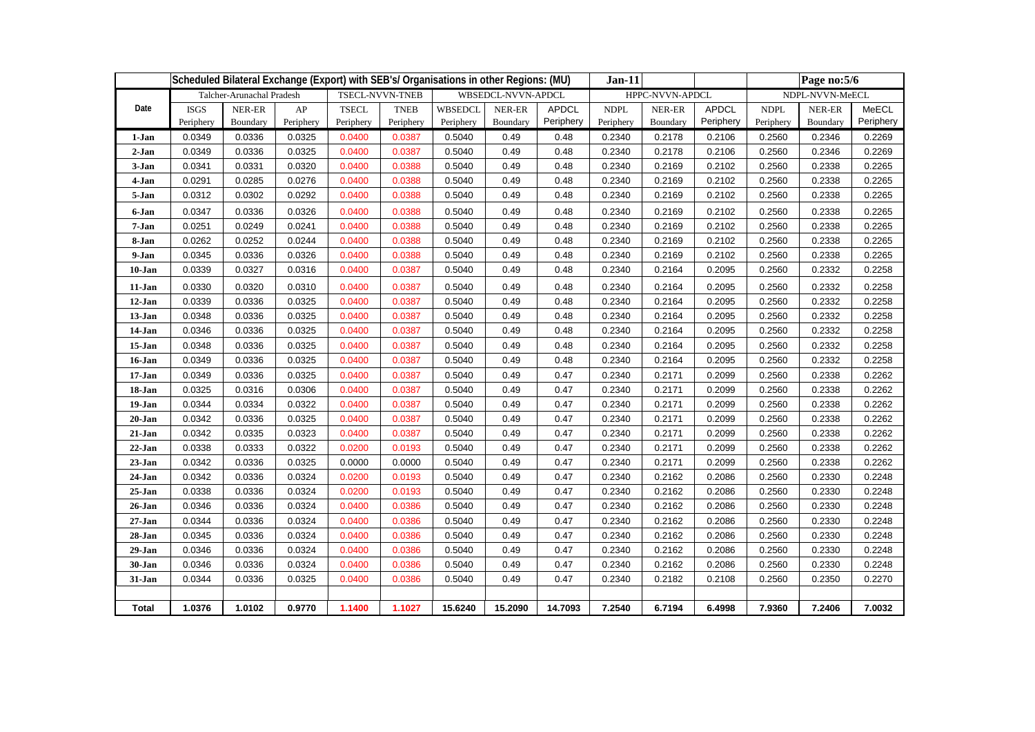|            | Scheduled Bilateral Exchange (Export) with SEB's/ Organisations in other Regions: (MU) |                           |           |              |                        |                |                    |              |             | $Jan-11$        |              |             | Page no:5/6 |                 |  |
|------------|----------------------------------------------------------------------------------------|---------------------------|-----------|--------------|------------------------|----------------|--------------------|--------------|-------------|-----------------|--------------|-------------|-------------|-----------------|--|
|            |                                                                                        | Talcher-Arunachal Pradesh |           |              | <b>TSECL-NVVN-TNEB</b> |                | WBSEDCL-NVVN-APDCL |              |             | HPPC-NVVN-APDCL |              |             |             | NDPL-NVVN-MeECL |  |
| Date       | <b>ISGS</b>                                                                            | NER-ER                    | AP        | <b>TSECL</b> | <b>TNEB</b>            | <b>WBSEDCL</b> | NER-ER             | <b>APDCL</b> | <b>NDPL</b> | NER-ER          | <b>APDCL</b> | <b>NDPL</b> | NER-ER      | MeECL           |  |
|            | Periphery                                                                              | Boundary                  | Periphery | Periphery    | Periphery              | Periphery      | Boundary           | Periphery    | Periphery   | Boundary        | Periphery    | Periphery   | Boundary    | Periphery       |  |
| 1-Jan      | 0.0349                                                                                 | 0.0336                    | 0.0325    | 0.0400       | 0.0387                 | 0.5040         | 0.49               | 0.48         | 0.2340      | 0.2178          | 0.2106       | 0.2560      | 0.2346      | 0.2269          |  |
| $2-Jan$    | 0.0349                                                                                 | 0.0336                    | 0.0325    | 0.0400       | 0.0387                 | 0.5040         | 0.49               | 0.48         | 0.2340      | 0.2178          | 0.2106       | 0.2560      | 0.2346      | 0.2269          |  |
| 3-Jan      | 0.0341                                                                                 | 0.0331                    | 0.0320    | 0.0400       | 0.0388                 | 0.5040         | 0.49               | 0.48         | 0.2340      | 0.2169          | 0.2102       | 0.2560      | 0.2338      | 0.2265          |  |
| 4-Jan      | 0.0291                                                                                 | 0.0285                    | 0.0276    | 0.0400       | 0.0388                 | 0.5040         | 0.49               | 0.48         | 0.2340      | 0.2169          | 0.2102       | 0.2560      | 0.2338      | 0.2265          |  |
| 5-Jan      | 0.0312                                                                                 | 0.0302                    | 0.0292    | 0.0400       | 0.0388                 | 0.5040         | 0.49               | 0.48         | 0.2340      | 0.2169          | 0.2102       | 0.2560      | 0.2338      | 0.2265          |  |
| 6-Jan      | 0.0347                                                                                 | 0.0336                    | 0.0326    | 0.0400       | 0.0388                 | 0.5040         | 0.49               | 0.48         | 0.2340      | 0.2169          | 0.2102       | 0.2560      | 0.2338      | 0.2265          |  |
| 7-Jan      | 0.0251                                                                                 | 0.0249                    | 0.0241    | 0.0400       | 0.0388                 | 0.5040         | 0.49               | 0.48         | 0.2340      | 0.2169          | 0.2102       | 0.2560      | 0.2338      | 0.2265          |  |
| 8-Jan      | 0.0262                                                                                 | 0.0252                    | 0.0244    | 0.0400       | 0.0388                 | 0.5040         | 0.49               | 0.48         | 0.2340      | 0.2169          | 0.2102       | 0.2560      | 0.2338      | 0.2265          |  |
| 9-Jan      | 0.0345                                                                                 | 0.0336                    | 0.0326    | 0.0400       | 0.0388                 | 0.5040         | 0.49               | 0.48         | 0.2340      | 0.2169          | 0.2102       | 0.2560      | 0.2338      | 0.2265          |  |
| $10 - Jan$ | 0.0339                                                                                 | 0.0327                    | 0.0316    | 0.0400       | 0.0387                 | 0.5040         | 0.49               | 0.48         | 0.2340      | 0.2164          | 0.2095       | 0.2560      | 0.2332      | 0.2258          |  |
| 11-Jan     | 0.0330                                                                                 | 0.0320                    | 0.0310    | 0.0400       | 0.0387                 | 0.5040         | 0.49               | 0.48         | 0.2340      | 0.2164          | 0.2095       | 0.2560      | 0.2332      | 0.2258          |  |
| 12-Jan     | 0.0339                                                                                 | 0.0336                    | 0.0325    | 0.0400       | 0.0387                 | 0.5040         | 0.49               | 0.48         | 0.2340      | 0.2164          | 0.2095       | 0.2560      | 0.2332      | 0.2258          |  |
| 13-Jan     | 0.0348                                                                                 | 0.0336                    | 0.0325    | 0.0400       | 0.0387                 | 0.5040         | 0.49               | 0.48         | 0.2340      | 0.2164          | 0.2095       | 0.2560      | 0.2332      | 0.2258          |  |
| 14-Jan     | 0.0346                                                                                 | 0.0336                    | 0.0325    | 0.0400       | 0.0387                 | 0.5040         | 0.49               | 0.48         | 0.2340      | 0.2164          | 0.2095       | 0.2560      | 0.2332      | 0.2258          |  |
| 15-Jan     | 0.0348                                                                                 | 0.0336                    | 0.0325    | 0.0400       | 0.0387                 | 0.5040         | 0.49               | 0.48         | 0.2340      | 0.2164          | 0.2095       | 0.2560      | 0.2332      | 0.2258          |  |
| 16-Jan     | 0.0349                                                                                 | 0.0336                    | 0.0325    | 0.0400       | 0.0387                 | 0.5040         | 0.49               | 0.48         | 0.2340      | 0.2164          | 0.2095       | 0.2560      | 0.2332      | 0.2258          |  |
| 17-Jan     | 0.0349                                                                                 | 0.0336                    | 0.0325    | 0.0400       | 0.0387                 | 0.5040         | 0.49               | 0.47         | 0.2340      | 0.2171          | 0.2099       | 0.2560      | 0.2338      | 0.2262          |  |
| 18-Jan     | 0.0325                                                                                 | 0.0316                    | 0.0306    | 0.0400       | 0.0387                 | 0.5040         | 0.49               | 0.47         | 0.2340      | 0.2171          | 0.2099       | 0.2560      | 0.2338      | 0.2262          |  |
| 19-Jan     | 0.0344                                                                                 | 0.0334                    | 0.0322    | 0.0400       | 0.0387                 | 0.5040         | 0.49               | 0.47         | 0.2340      | 0.2171          | 0.2099       | 0.2560      | 0.2338      | 0.2262          |  |
| 20-Jan     | 0.0342                                                                                 | 0.0336                    | 0.0325    | 0.0400       | 0.0387                 | 0.5040         | 0.49               | 0.47         | 0.2340      | 0.2171          | 0.2099       | 0.2560      | 0.2338      | 0.2262          |  |
| 21-Jan     | 0.0342                                                                                 | 0.0335                    | 0.0323    | 0.0400       | 0.0387                 | 0.5040         | 0.49               | 0.47         | 0.2340      | 0.2171          | 0.2099       | 0.2560      | 0.2338      | 0.2262          |  |
| $22$ -Jan  | 0.0338                                                                                 | 0.0333                    | 0.0322    | 0.0200       | 0.0193                 | 0.5040         | 0.49               | 0.47         | 0.2340      | 0.2171          | 0.2099       | 0.2560      | 0.2338      | 0.2262          |  |
| $23 - Jan$ | 0.0342                                                                                 | 0.0336                    | 0.0325    | 0.0000       | 0.0000                 | 0.5040         | 0.49               | 0.47         | 0.2340      | 0.2171          | 0.2099       | 0.2560      | 0.2338      | 0.2262          |  |
| 24-Jan     | 0.0342                                                                                 | 0.0336                    | 0.0324    | 0.0200       | 0.0193                 | 0.5040         | 0.49               | 0.47         | 0.2340      | 0.2162          | 0.2086       | 0.2560      | 0.2330      | 0.2248          |  |
| $25 - Jan$ | 0.0338                                                                                 | 0.0336                    | 0.0324    | 0.0200       | 0.0193                 | 0.5040         | 0.49               | 0.47         | 0.2340      | 0.2162          | 0.2086       | 0.2560      | 0.2330      | 0.2248          |  |
| 26-Jan     | 0.0346                                                                                 | 0.0336                    | 0.0324    | 0.0400       | 0.0386                 | 0.5040         | 0.49               | 0.47         | 0.2340      | 0.2162          | 0.2086       | 0.2560      | 0.2330      | 0.2248          |  |
| $27 - Jan$ | 0.0344                                                                                 | 0.0336                    | 0.0324    | 0.0400       | 0.0386                 | 0.5040         | 0.49               | 0.47         | 0.2340      | 0.2162          | 0.2086       | 0.2560      | 0.2330      | 0.2248          |  |
| 28-Jan     | 0.0345                                                                                 | 0.0336                    | 0.0324    | 0.0400       | 0.0386                 | 0.5040         | 0.49               | 0.47         | 0.2340      | 0.2162          | 0.2086       | 0.2560      | 0.2330      | 0.2248          |  |
| 29-Jan     | 0.0346                                                                                 | 0.0336                    | 0.0324    | 0.0400       | 0.0386                 | 0.5040         | 0.49               | 0.47         | 0.2340      | 0.2162          | 0.2086       | 0.2560      | 0.2330      | 0.2248          |  |
| 30-Jan     | 0.0346                                                                                 | 0.0336                    | 0.0324    | 0.0400       | 0.0386                 | 0.5040         | 0.49               | 0.47         | 0.2340      | 0.2162          | 0.2086       | 0.2560      | 0.2330      | 0.2248          |  |
| 31-Jan     | 0.0344                                                                                 | 0.0336                    | 0.0325    | 0.0400       | 0.0386                 | 0.5040         | 0.49               | 0.47         | 0.2340      | 0.2182          | 0.2108       | 0.2560      | 0.2350      | 0.2270          |  |
|            |                                                                                        |                           |           |              |                        |                |                    |              |             |                 |              |             |             |                 |  |
| Total      | 1.0376                                                                                 | 1.0102                    | 0.9770    | 1.1400       | 1.1027                 | 15.6240        | 15.2090            | 14.7093      | 7.2540      | 6.7194          | 6.4998       | 7.9360      | 7.2406      | 7.0032          |  |